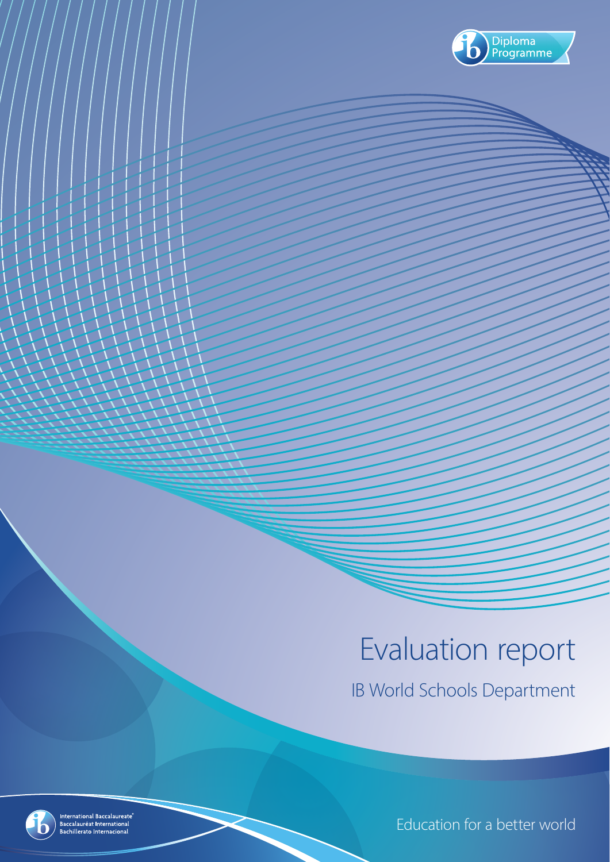

# Evaluation report

IB World Schools Department



International Baccalaureate<sup>®</sup><br>Baccalauréat International<br>Bachillerato Internacional

Education for a better world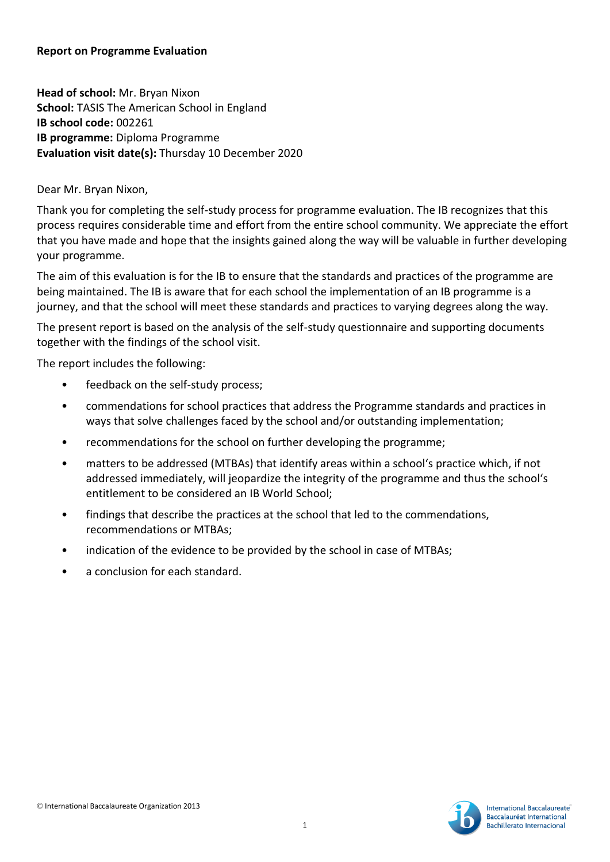#### **Report on Programme Evaluation**

**Head of school:** Mr. Bryan Nixon **School:** TASIS The American School in England **IB school code:** 002261 **IB programme:** Diploma Programme **Evaluation visit date(s):** Thursday 10 December 2020

Dear Mr. Bryan Nixon,

Thank you for completing the self-study process for programme evaluation. The IB recognizes that this process requires considerable time and effort from the entire school community. We appreciate the effort that you have made and hope that the insights gained along the way will be valuable in further developing your programme.

The aim of this evaluation is for the IB to ensure that the standards and practices of the programme are being maintained. The IB is aware that for each school the implementation of an IB programme is a journey, and that the school will meet these standards and practices to varying degrees along the way.

The present report is based on the analysis of the self-study questionnaire and supporting documents together with the findings of the school visit.

The report includes the following:

- feedback on the self-study process;
- commendations for school practices that address the Programme standards and practices in ways that solve challenges faced by the school and/or outstanding implementation;
- recommendations for the school on further developing the programme;
- matters to be addressed (MTBAs) that identify areas within a school's practice which, if not addressed immediately, will jeopardize the integrity of the programme and thus the school's entitlement to be considered an IB World School;
- findings that describe the practices at the school that led to the commendations, recommendations or MTBAs;
- indication of the evidence to be provided by the school in case of MTBAs;
- a conclusion for each standard.

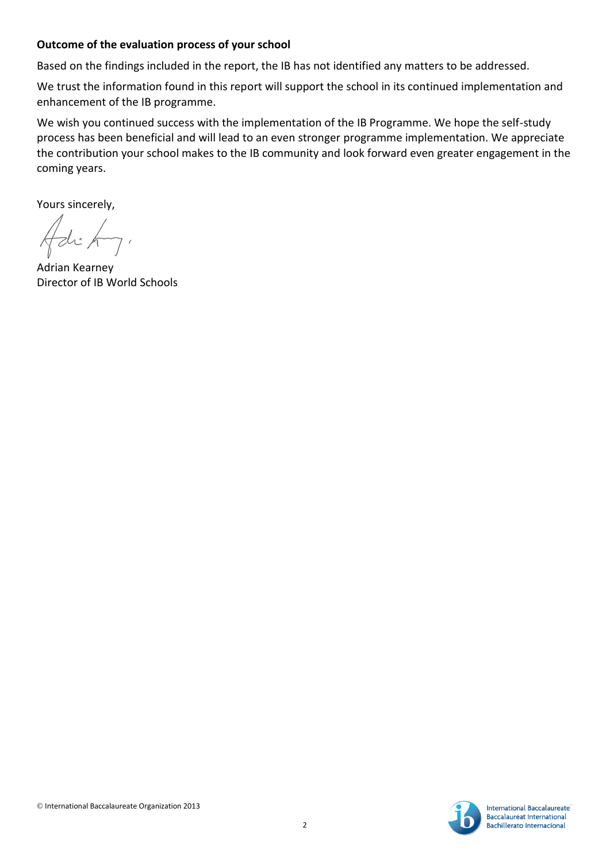#### **Outcome of the evaluation process of your school**

Based on the findings included in the report, the IB has not identified any matters to be addressed.

We trust the information found in this report will support the school in its continued implementation and enhancement of the IB programme.

We wish you continued success with the implementation of the IB Programme. We hope the self-study process has been beneficial and will lead to an even stronger programme implementation. We appreciate the contribution your school makes to the IB community and look forward even greater engagement in the coming years.

Yours sincerely,

Adrian Kearney Director of IB World Schools

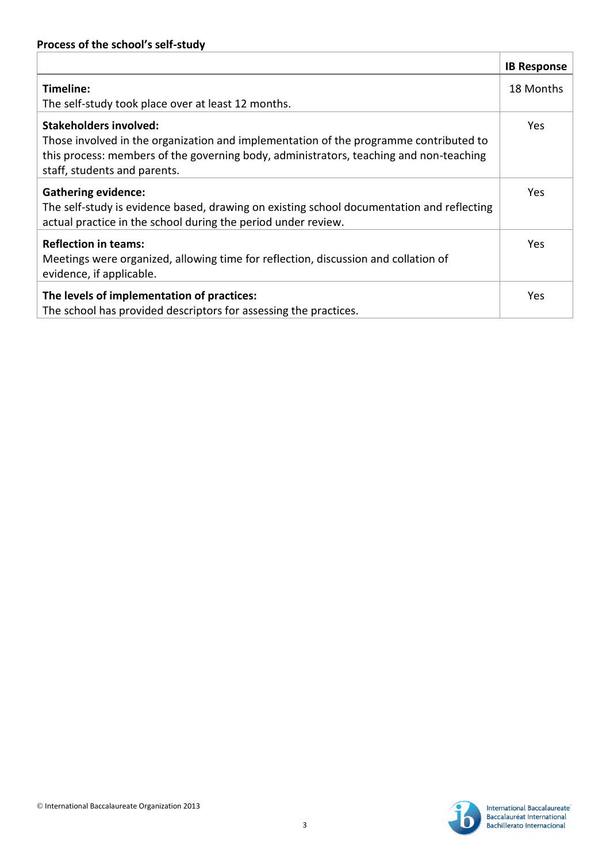|                                                                                           | <b>IB Response</b> |
|-------------------------------------------------------------------------------------------|--------------------|
| Timeline:                                                                                 | 18 Months          |
| The self-study took place over at least 12 months.                                        |                    |
| Stakeholders involved:                                                                    | <b>Yes</b>         |
| Those involved in the organization and implementation of the programme contributed to     |                    |
| this process: members of the governing body, administrators, teaching and non-teaching    |                    |
| staff, students and parents.                                                              |                    |
| <b>Gathering evidence:</b>                                                                | <b>Yes</b>         |
| The self-study is evidence based, drawing on existing school documentation and reflecting |                    |
| actual practice in the school during the period under review.                             |                    |
| <b>Reflection in teams:</b>                                                               | Yes.               |
| Meetings were organized, allowing time for reflection, discussion and collation of        |                    |
| evidence, if applicable.                                                                  |                    |
| The levels of implementation of practices:                                                | Yes                |
| The school has provided descriptors for assessing the practices.                          |                    |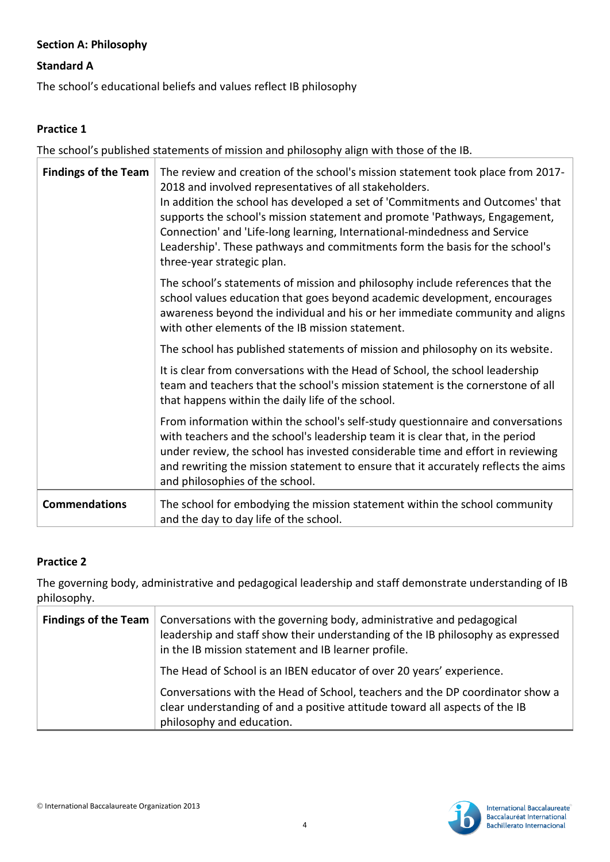# **Section A: Philosophy**

## **Standard A**

The school's educational beliefs and values reflect IB philosophy

# **Practice 1**

The school's published statements of mission and philosophy align with those of the IB.

| <b>Findings of the Team</b><br>The review and creation of the school's mission statement took place from 2017-<br>2018 and involved representatives of all stakeholders.<br>In addition the school has developed a set of 'Commitments and Outcomes' that<br>supports the school's mission statement and promote 'Pathways, Engagement,<br>Connection' and 'Life-long learning, International-mindedness and Service<br>Leadership'. These pathways and commitments form the basis for the school's<br>three-year strategic plan. |                                                                                                                                                                                                                                                                                                                                                                               |
|-----------------------------------------------------------------------------------------------------------------------------------------------------------------------------------------------------------------------------------------------------------------------------------------------------------------------------------------------------------------------------------------------------------------------------------------------------------------------------------------------------------------------------------|-------------------------------------------------------------------------------------------------------------------------------------------------------------------------------------------------------------------------------------------------------------------------------------------------------------------------------------------------------------------------------|
|                                                                                                                                                                                                                                                                                                                                                                                                                                                                                                                                   | The school's statements of mission and philosophy include references that the<br>school values education that goes beyond academic development, encourages<br>awareness beyond the individual and his or her immediate community and aligns<br>with other elements of the IB mission statement.                                                                               |
|                                                                                                                                                                                                                                                                                                                                                                                                                                                                                                                                   | The school has published statements of mission and philosophy on its website.                                                                                                                                                                                                                                                                                                 |
|                                                                                                                                                                                                                                                                                                                                                                                                                                                                                                                                   | It is clear from conversations with the Head of School, the school leadership<br>team and teachers that the school's mission statement is the cornerstone of all<br>that happens within the daily life of the school.                                                                                                                                                         |
|                                                                                                                                                                                                                                                                                                                                                                                                                                                                                                                                   | From information within the school's self-study questionnaire and conversations<br>with teachers and the school's leadership team it is clear that, in the period<br>under review, the school has invested considerable time and effort in reviewing<br>and rewriting the mission statement to ensure that it accurately reflects the aims<br>and philosophies of the school. |
| <b>Commendations</b>                                                                                                                                                                                                                                                                                                                                                                                                                                                                                                              | The school for embodying the mission statement within the school community<br>and the day to day life of the school.                                                                                                                                                                                                                                                          |

#### **Practice 2**

The governing body, administrative and pedagogical leadership and staff demonstrate understanding of IB philosophy.

| <b>Findings of the Team</b>   Conversations with the governing body, administrative and pedagogical<br>leadership and staff show their understanding of the IB philosophy as expressed<br>in the IB mission statement and IB learner profile. |
|-----------------------------------------------------------------------------------------------------------------------------------------------------------------------------------------------------------------------------------------------|
| The Head of School is an IBEN educator of over 20 years' experience.                                                                                                                                                                          |
| Conversations with the Head of School, teachers and the DP coordinator show a<br>clear understanding of and a positive attitude toward all aspects of the IB<br>philosophy and education.                                                     |

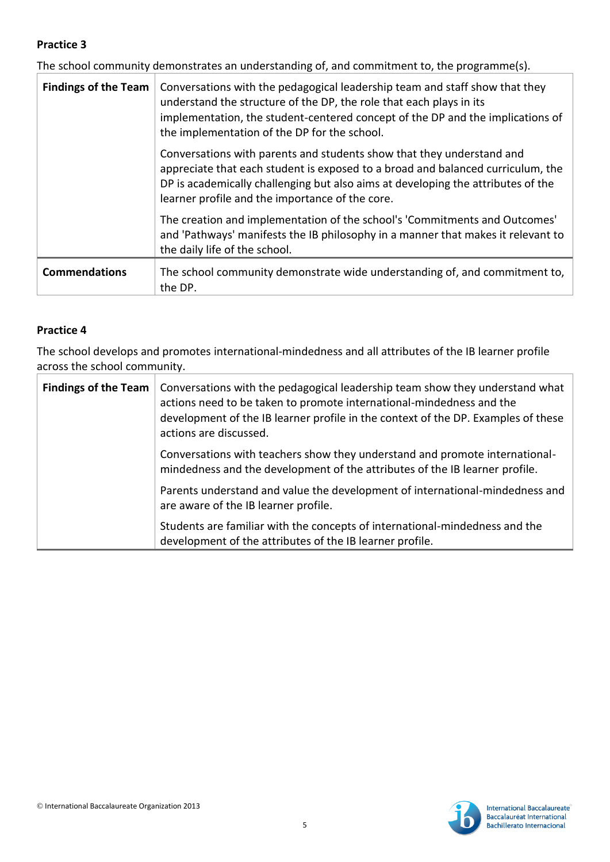The school community demonstrates an understanding of, and commitment to, the programme(s).

| <b>Findings of the Team</b> | Conversations with the pedagogical leadership team and staff show that they<br>understand the structure of the DP, the role that each plays in its<br>implementation, the student-centered concept of the DP and the implications of<br>the implementation of the DP for the school.            |
|-----------------------------|-------------------------------------------------------------------------------------------------------------------------------------------------------------------------------------------------------------------------------------------------------------------------------------------------|
|                             | Conversations with parents and students show that they understand and<br>appreciate that each student is exposed to a broad and balanced curriculum, the<br>DP is academically challenging but also aims at developing the attributes of the<br>learner profile and the importance of the core. |
|                             | The creation and implementation of the school's 'Commitments and Outcomes'<br>and 'Pathways' manifests the IB philosophy in a manner that makes it relevant to<br>the daily life of the school.                                                                                                 |
| <b>Commendations</b>        | The school community demonstrate wide understanding of, and commitment to,<br>the DP.                                                                                                                                                                                                           |

#### **Practice 4**

The school develops and promotes international-mindedness and all attributes of the IB learner profile across the school community.

| <b>Findings of the Team</b> | Conversations with the pedagogical leadership team show they understand what<br>actions need to be taken to promote international-mindedness and the<br>development of the IB learner profile in the context of the DP. Examples of these<br>actions are discussed. |
|-----------------------------|---------------------------------------------------------------------------------------------------------------------------------------------------------------------------------------------------------------------------------------------------------------------|
|                             | Conversations with teachers show they understand and promote international-<br>mindedness and the development of the attributes of the IB learner profile.                                                                                                          |
|                             | Parents understand and value the development of international-mindedness and<br>are aware of the IB learner profile.                                                                                                                                                |
|                             | Students are familiar with the concepts of international-mindedness and the<br>development of the attributes of the IB learner profile.                                                                                                                             |

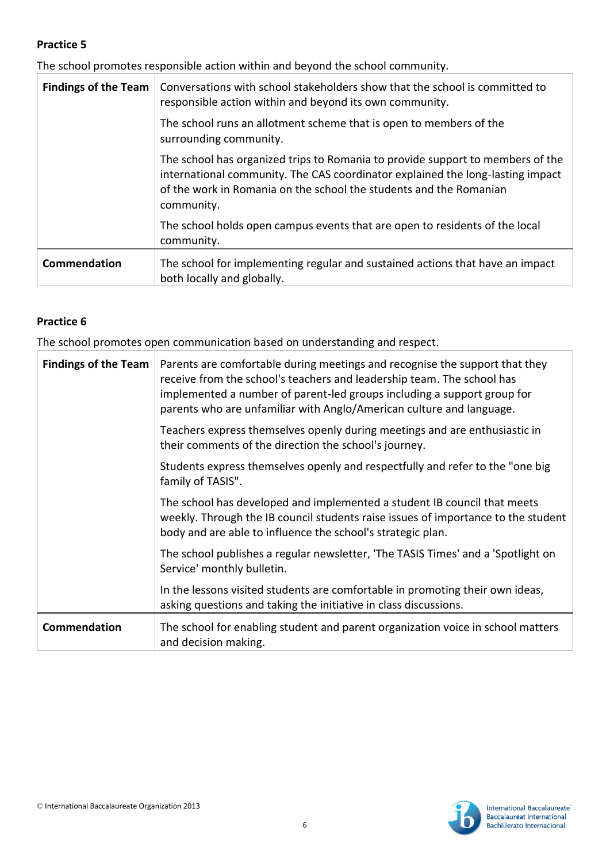The school promotes responsible action within and beyond the school community.

| <b>Findings of the Team</b> | Conversations with school stakeholders show that the school is committed to<br>responsible action within and beyond its own community.                                                                                                               |
|-----------------------------|------------------------------------------------------------------------------------------------------------------------------------------------------------------------------------------------------------------------------------------------------|
|                             | The school runs an allotment scheme that is open to members of the<br>surrounding community.                                                                                                                                                         |
|                             | The school has organized trips to Romania to provide support to members of the<br>international community. The CAS coordinator explained the long-lasting impact<br>of the work in Romania on the school the students and the Romanian<br>community. |
|                             | The school holds open campus events that are open to residents of the local<br>community.                                                                                                                                                            |
| Commendation                | The school for implementing regular and sustained actions that have an impact<br>both locally and globally.                                                                                                                                          |

# **Practice 6**

The school promotes open communication based on understanding and respect.

| <b>Findings of the Team</b> | Parents are comfortable during meetings and recognise the support that they<br>receive from the school's teachers and leadership team. The school has<br>implemented a number of parent-led groups including a support group for<br>parents who are unfamiliar with Anglo/American culture and language. |
|-----------------------------|----------------------------------------------------------------------------------------------------------------------------------------------------------------------------------------------------------------------------------------------------------------------------------------------------------|
|                             | Teachers express themselves openly during meetings and are enthusiastic in<br>their comments of the direction the school's journey.                                                                                                                                                                      |
|                             | Students express themselves openly and respectfully and refer to the "one big<br>family of TASIS".                                                                                                                                                                                                       |
|                             | The school has developed and implemented a student IB council that meets<br>weekly. Through the IB council students raise issues of importance to the student<br>body and are able to influence the school's strategic plan.                                                                             |
|                             | The school publishes a regular newsletter, 'The TASIS Times' and a 'Spotlight on<br>Service' monthly bulletin.                                                                                                                                                                                           |
|                             | In the lessons visited students are comfortable in promoting their own ideas,<br>asking questions and taking the initiative in class discussions.                                                                                                                                                        |
| Commendation                | The school for enabling student and parent organization voice in school matters<br>and decision making.                                                                                                                                                                                                  |

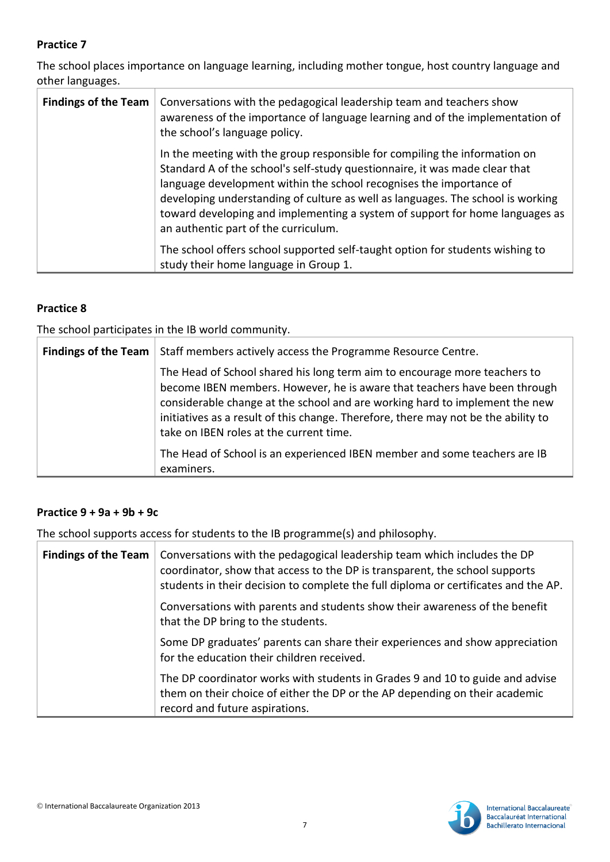The school places importance on language learning, including mother tongue, host country language and other languages.

| <b>Findings of the Team</b> | Conversations with the pedagogical leadership team and teachers show<br>awareness of the importance of language learning and of the implementation of<br>the school's language policy.                                                                                                                                                                                                                                                      |
|-----------------------------|---------------------------------------------------------------------------------------------------------------------------------------------------------------------------------------------------------------------------------------------------------------------------------------------------------------------------------------------------------------------------------------------------------------------------------------------|
|                             | In the meeting with the group responsible for compiling the information on<br>Standard A of the school's self-study questionnaire, it was made clear that<br>language development within the school recognises the importance of<br>developing understanding of culture as well as languages. The school is working<br>toward developing and implementing a system of support for home languages as<br>an authentic part of the curriculum. |
|                             | The school offers school supported self-taught option for students wishing to<br>study their home language in Group 1.                                                                                                                                                                                                                                                                                                                      |

# **Practice 8**

The school participates in the IB world community.

| <b>Findings of the Team</b> | Staff members actively access the Programme Resource Centre.                                                                                                                                                                                                                                                                                                           |
|-----------------------------|------------------------------------------------------------------------------------------------------------------------------------------------------------------------------------------------------------------------------------------------------------------------------------------------------------------------------------------------------------------------|
|                             | The Head of School shared his long term aim to encourage more teachers to<br>become IBEN members. However, he is aware that teachers have been through<br>considerable change at the school and are working hard to implement the new<br>initiatives as a result of this change. Therefore, there may not be the ability to<br>take on IBEN roles at the current time. |
|                             | The Head of School is an experienced IBEN member and some teachers are IB<br>examiners.                                                                                                                                                                                                                                                                                |

#### **Practice 9 + 9a + 9b + 9c**

The school supports access for students to the IB programme(s) and philosophy.

| <b>Findings of the Team</b> | Conversations with the pedagogical leadership team which includes the DP<br>coordinator, show that access to the DP is transparent, the school supports<br>students in their decision to complete the full diploma or certificates and the AP. |
|-----------------------------|------------------------------------------------------------------------------------------------------------------------------------------------------------------------------------------------------------------------------------------------|
|                             | Conversations with parents and students show their awareness of the benefit<br>that the DP bring to the students.                                                                                                                              |
|                             | Some DP graduates' parents can share their experiences and show appreciation<br>for the education their children received.                                                                                                                     |
|                             | The DP coordinator works with students in Grades 9 and 10 to guide and advise<br>them on their choice of either the DP or the AP depending on their academic<br>record and future aspirations.                                                 |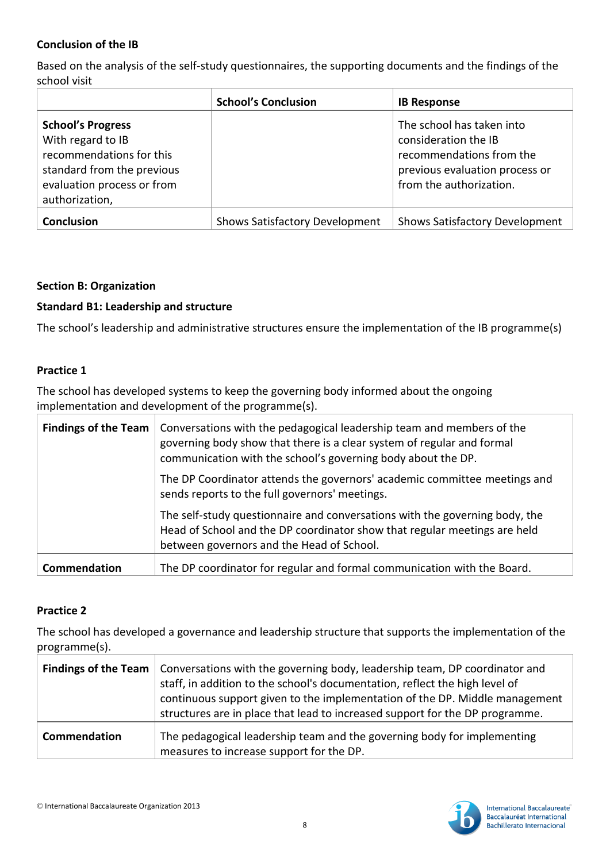#### **Conclusion of the IB**

Based on the analysis of the self-study questionnaires, the supporting documents and the findings of the school visit

|                                                                                                                                                         | <b>School's Conclusion</b>            | <b>IB Response</b>                                                                                                                         |
|---------------------------------------------------------------------------------------------------------------------------------------------------------|---------------------------------------|--------------------------------------------------------------------------------------------------------------------------------------------|
| <b>School's Progress</b><br>With regard to IB<br>recommendations for this<br>standard from the previous<br>evaluation process or from<br>authorization, |                                       | The school has taken into<br>consideration the IB<br>recommendations from the<br>previous evaluation process or<br>from the authorization. |
| Conclusion                                                                                                                                              | <b>Shows Satisfactory Development</b> | <b>Shows Satisfactory Development</b>                                                                                                      |

#### **Section B: Organization**

#### **Standard B1: Leadership and structure**

The school's leadership and administrative structures ensure the implementation of the IB programme(s)

#### **Practice 1**

The school has developed systems to keep the governing body informed about the ongoing implementation and development of the programme(s).

| <b>Findings of the Team</b><br>communication with the school's governing body about the DP.<br>sends reports to the full governors' meetings. | Conversations with the pedagogical leadership team and members of the<br>governing body show that there is a clear system of regular and formal                                                       |
|-----------------------------------------------------------------------------------------------------------------------------------------------|-------------------------------------------------------------------------------------------------------------------------------------------------------------------------------------------------------|
|                                                                                                                                               | The DP Coordinator attends the governors' academic committee meetings and                                                                                                                             |
|                                                                                                                                               | The self-study questionnaire and conversations with the governing body, the<br>Head of School and the DP coordinator show that regular meetings are held<br>between governors and the Head of School. |
| Commendation                                                                                                                                  | The DP coordinator for regular and formal communication with the Board.                                                                                                                               |

#### **Practice 2**

The school has developed a governance and leadership structure that supports the implementation of the programme(s).

|              | <b>Findings of the Team</b>   Conversations with the governing body, leadership team, DP coordinator and<br>staff, in addition to the school's documentation, reflect the high level of<br>continuous support given to the implementation of the DP. Middle management<br>structures are in place that lead to increased support for the DP programme. |
|--------------|--------------------------------------------------------------------------------------------------------------------------------------------------------------------------------------------------------------------------------------------------------------------------------------------------------------------------------------------------------|
| Commendation | The pedagogical leadership team and the governing body for implementing<br>measures to increase support for the DP.                                                                                                                                                                                                                                    |

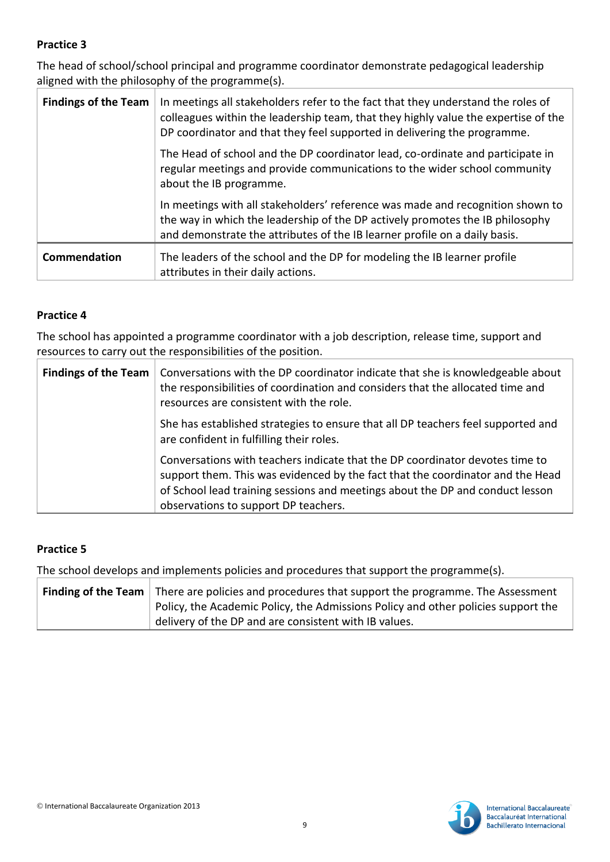The head of school/school principal and programme coordinator demonstrate pedagogical leadership aligned with the philosophy of the programme(s).

| <b>Findings of the Team</b> | In meetings all stakeholders refer to the fact that they understand the roles of<br>colleagues within the leadership team, that they highly value the expertise of the<br>DP coordinator and that they feel supported in delivering the programme. |
|-----------------------------|----------------------------------------------------------------------------------------------------------------------------------------------------------------------------------------------------------------------------------------------------|
|                             | The Head of school and the DP coordinator lead, co-ordinate and participate in<br>regular meetings and provide communications to the wider school community<br>about the IB programme.                                                             |
|                             | In meetings with all stakeholders' reference was made and recognition shown to<br>the way in which the leadership of the DP actively promotes the IB philosophy<br>and demonstrate the attributes of the IB learner profile on a daily basis.      |
| Commendation                | The leaders of the school and the DP for modeling the IB learner profile<br>attributes in their daily actions.                                                                                                                                     |

#### **Practice 4**

The school has appointed a programme coordinator with a job description, release time, support and resources to carry out the responsibilities of the position.

| <b>Findings of the Team</b> | Conversations with the DP coordinator indicate that she is knowledgeable about<br>the responsibilities of coordination and considers that the allocated time and<br>resources are consistent with the role.                                                                             |
|-----------------------------|-----------------------------------------------------------------------------------------------------------------------------------------------------------------------------------------------------------------------------------------------------------------------------------------|
|                             | She has established strategies to ensure that all DP teachers feel supported and<br>are confident in fulfilling their roles.                                                                                                                                                            |
|                             | Conversations with teachers indicate that the DP coordinator devotes time to<br>support them. This was evidenced by the fact that the coordinator and the Head<br>of School lead training sessions and meetings about the DP and conduct lesson<br>observations to support DP teachers. |

# **Practice 5**

The school develops and implements policies and procedures that support the programme(s).

| Finding of the Team $\vert$ There are policies and procedures that support the programme. The Assessment |
|----------------------------------------------------------------------------------------------------------|
| Policy, the Academic Policy, the Admissions Policy and other policies support the                        |
| delivery of the DP and are consistent with IB values.                                                    |

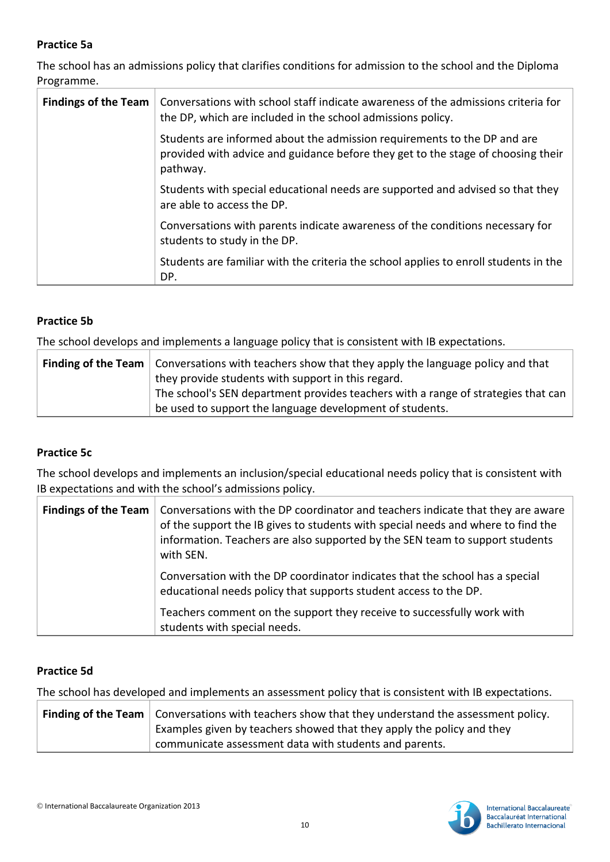# **Practice 5a**

The school has an admissions policy that clarifies conditions for admission to the school and the Diploma Programme.

| <b>Findings of the Team</b> | Conversations with school staff indicate awareness of the admissions criteria for<br>the DP, which are included in the school admissions policy.                         |
|-----------------------------|--------------------------------------------------------------------------------------------------------------------------------------------------------------------------|
|                             | Students are informed about the admission requirements to the DP and are<br>provided with advice and guidance before they get to the stage of choosing their<br>pathway. |
|                             | Students with special educational needs are supported and advised so that they<br>are able to access the DP.                                                             |
|                             | Conversations with parents indicate awareness of the conditions necessary for<br>students to study in the DP.                                                            |
|                             | Students are familiar with the criteria the school applies to enroll students in the<br>DP.                                                                              |

# **Practice 5b**

The school develops and implements a language policy that is consistent with IB expectations.

| <b>Finding of the Team</b>   Conversations with teachers show that they apply the language policy and that |
|------------------------------------------------------------------------------------------------------------|
| they provide students with support in this regard.                                                         |
| The school's SEN department provides teachers with a range of strategies that can                          |
| be used to support the language development of students.                                                   |

#### **Practice 5c**

The school develops and implements an inclusion/special educational needs policy that is consistent with IB expectations and with the school's admissions policy.

| <b>Findings of the Team</b> | Conversations with the DP coordinator and teachers indicate that they are aware<br>of the support the IB gives to students with special needs and where to find the<br>information. Teachers are also supported by the SEN team to support students<br>with SEN. |
|-----------------------------|------------------------------------------------------------------------------------------------------------------------------------------------------------------------------------------------------------------------------------------------------------------|
|                             | Conversation with the DP coordinator indicates that the school has a special<br>educational needs policy that supports student access to the DP.<br>Teachers comment on the support they receive to successfully work with<br>students with special needs.       |

# **Practice 5d**

The school has developed and implements an assessment policy that is consistent with IB expectations.

| <b>Finding of the Team</b> $\vert$ Conversations with teachers show that they understand the assessment policy. |
|-----------------------------------------------------------------------------------------------------------------|
| Examples given by teachers showed that they apply the policy and they                                           |
| communicate assessment data with students and parents.                                                          |

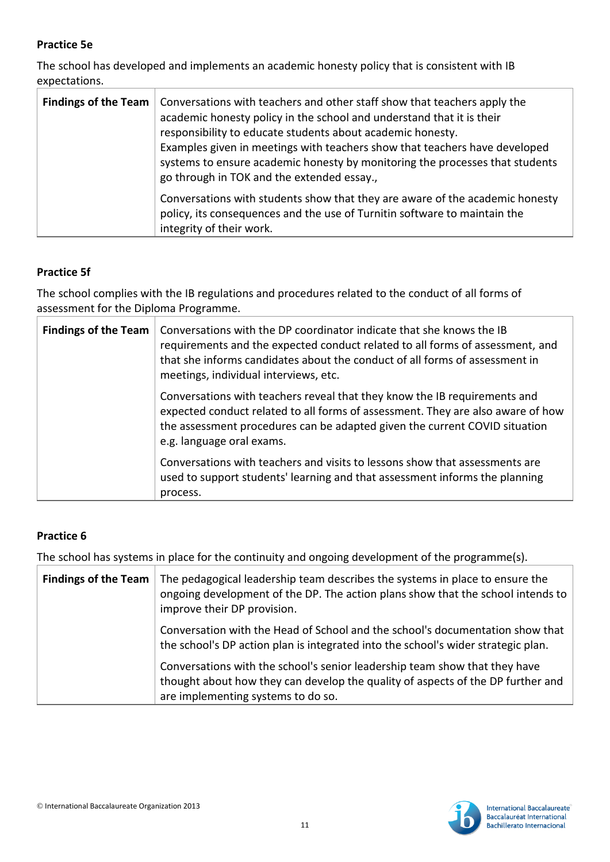# **Practice 5e**

The school has developed and implements an academic honesty policy that is consistent with IB expectations.

| <b>Findings of the Team</b> | Conversations with teachers and other staff show that teachers apply the<br>academic honesty policy in the school and understand that it is their<br>responsibility to educate students about academic honesty.<br>Examples given in meetings with teachers show that teachers have developed<br>systems to ensure academic honesty by monitoring the processes that students<br>go through in TOK and the extended essay., |
|-----------------------------|-----------------------------------------------------------------------------------------------------------------------------------------------------------------------------------------------------------------------------------------------------------------------------------------------------------------------------------------------------------------------------------------------------------------------------|
|                             | Conversations with students show that they are aware of the academic honesty<br>policy, its consequences and the use of Turnitin software to maintain the<br>integrity of their work.                                                                                                                                                                                                                                       |

# **Practice 5f**

The school complies with the IB regulations and procedures related to the conduct of all forms of assessment for the Diploma Programme.

| <b>Findings of the Team</b> | Conversations with the DP coordinator indicate that she knows the IB<br>requirements and the expected conduct related to all forms of assessment, and<br>that she informs candidates about the conduct of all forms of assessment in<br>meetings, individual interviews, etc. |
|-----------------------------|-------------------------------------------------------------------------------------------------------------------------------------------------------------------------------------------------------------------------------------------------------------------------------|
|                             | Conversations with teachers reveal that they know the IB requirements and<br>expected conduct related to all forms of assessment. They are also aware of how<br>the assessment procedures can be adapted given the current COVID situation<br>e.g. language oral exams.       |
|                             | Conversations with teachers and visits to lessons show that assessments are<br>used to support students' learning and that assessment informs the planning<br>process.                                                                                                        |

# **Practice 6**

The school has systems in place for the continuity and ongoing development of the programme(s).

| <b>Findings of the Team</b> | The pedagogical leadership team describes the systems in place to ensure the<br>ongoing development of the DP. The action plans show that the school intends to<br>improve their DP provision.      |
|-----------------------------|-----------------------------------------------------------------------------------------------------------------------------------------------------------------------------------------------------|
|                             | Conversation with the Head of School and the school's documentation show that<br>the school's DP action plan is integrated into the school's wider strategic plan.                                  |
|                             | Conversations with the school's senior leadership team show that they have<br>thought about how they can develop the quality of aspects of the DP further and<br>are implementing systems to do so. |

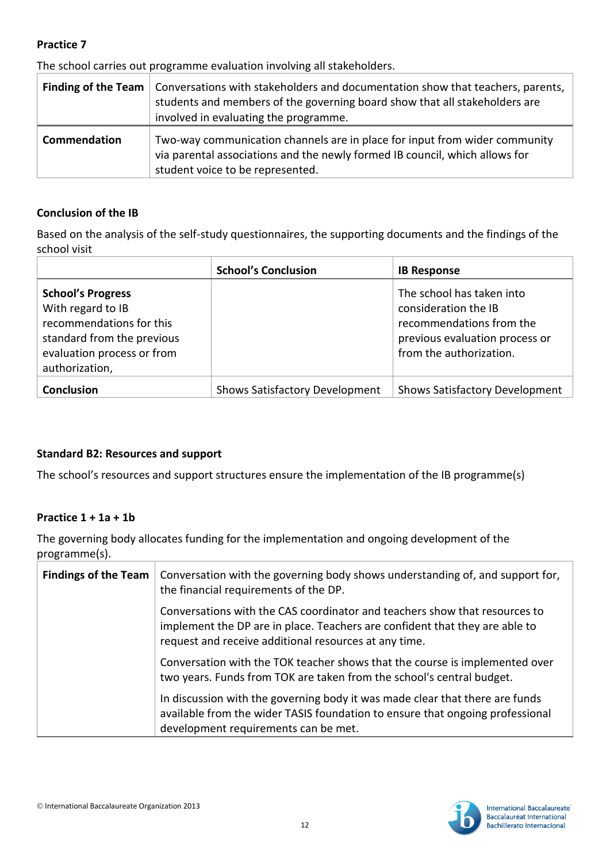The school carries out programme evaluation involving all stakeholders.

| <b>Finding of the Team</b> | Conversations with stakeholders and documentation show that teachers, parents,<br>students and members of the governing board show that all stakeholders are<br>involved in evaluating the programme. |
|----------------------------|-------------------------------------------------------------------------------------------------------------------------------------------------------------------------------------------------------|
| Commendation               | Two-way communication channels are in place for input from wider community<br>via parental associations and the newly formed IB council, which allows for<br>student voice to be represented.         |

#### **Conclusion of the IB**

Based on the analysis of the self-study questionnaires, the supporting documents and the findings of the school visit

|                                                                                                                                                         | <b>School's Conclusion</b>            | <b>IB Response</b>                                                                                                                         |
|---------------------------------------------------------------------------------------------------------------------------------------------------------|---------------------------------------|--------------------------------------------------------------------------------------------------------------------------------------------|
| <b>School's Progress</b><br>With regard to IB<br>recommendations for this<br>standard from the previous<br>evaluation process or from<br>authorization, |                                       | The school has taken into<br>consideration the IB<br>recommendations from the<br>previous evaluation process or<br>from the authorization. |
| <b>Conclusion</b>                                                                                                                                       | <b>Shows Satisfactory Development</b> | <b>Shows Satisfactory Development</b>                                                                                                      |

#### **Standard B2: Resources and support**

The school's resources and support structures ensure the implementation of the IB programme(s)

#### **Practice 1 + 1a + 1b**

The governing body allocates funding for the implementation and ongoing development of the programme(s).

| <b>Findings of the Team</b> | Conversation with the governing body shows understanding of, and support for,<br>the financial requirements of the DP.                                                                                             |
|-----------------------------|--------------------------------------------------------------------------------------------------------------------------------------------------------------------------------------------------------------------|
|                             | Conversations with the CAS coordinator and teachers show that resources to<br>implement the DP are in place. Teachers are confident that they are able to<br>request and receive additional resources at any time. |
|                             | Conversation with the TOK teacher shows that the course is implemented over<br>two years. Funds from TOK are taken from the school's central budget.                                                               |
|                             | In discussion with the governing body it was made clear that there are funds<br>available from the wider TASIS foundation to ensure that ongoing professional<br>development requirements can be met.              |

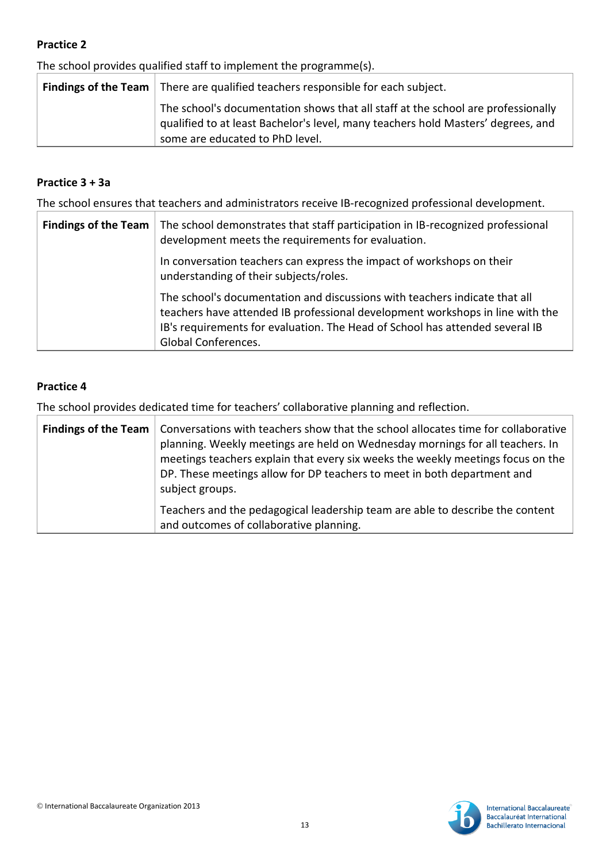The school provides qualified staff to implement the programme(s).

| <b>Findings of the Team</b> $\vert$ There are qualified teachers responsible for each subject.                                                                                                          |
|---------------------------------------------------------------------------------------------------------------------------------------------------------------------------------------------------------|
| The school's documentation shows that all staff at the school are professionally<br>qualified to at least Bachelor's level, many teachers hold Masters' degrees, and<br>some are educated to PhD level. |

## **Practice 3 + 3a**

The school ensures that teachers and administrators receive IB-recognized professional development.

| <b>Findings of the Team</b> | The school demonstrates that staff participation in IB-recognized professional<br>development meets the requirements for evaluation.                                                                                                                               |
|-----------------------------|--------------------------------------------------------------------------------------------------------------------------------------------------------------------------------------------------------------------------------------------------------------------|
|                             | In conversation teachers can express the impact of workshops on their<br>understanding of their subjects/roles.                                                                                                                                                    |
|                             | The school's documentation and discussions with teachers indicate that all<br>teachers have attended IB professional development workshops in line with the<br>IB's requirements for evaluation. The Head of School has attended several IB<br>Global Conferences. |

# **Practice 4**

The school provides dedicated time for teachers' collaborative planning and reflection.

|  | Findings of the Team   Conversations with teachers show that the school allocates time for collaborative<br>planning. Weekly meetings are held on Wednesday mornings for all teachers. In<br>meetings teachers explain that every six weeks the weekly meetings focus on the<br>DP. These meetings allow for DP teachers to meet in both department and<br>subject groups. |
|--|----------------------------------------------------------------------------------------------------------------------------------------------------------------------------------------------------------------------------------------------------------------------------------------------------------------------------------------------------------------------------|
|  | Teachers and the pedagogical leadership team are able to describe the content<br>and outcomes of collaborative planning.                                                                                                                                                                                                                                                   |

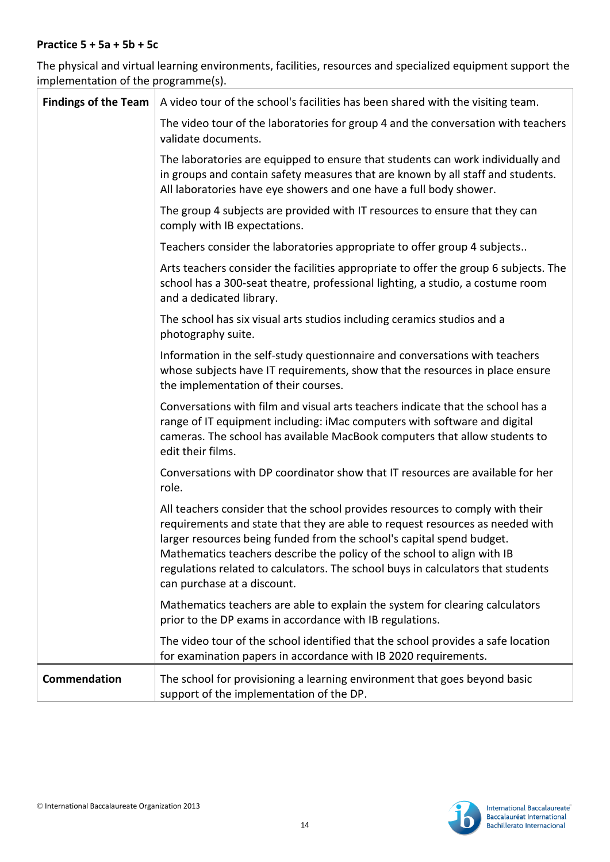#### **Practice 5 + 5a + 5b + 5c**

The physical and virtual learning environments, facilities, resources and specialized equipment support the implementation of the programme(s).

| <b>Findings of the Team</b> | A video tour of the school's facilities has been shared with the visiting team.                                                                                                                                                                                                                                                                                                                                                       |
|-----------------------------|---------------------------------------------------------------------------------------------------------------------------------------------------------------------------------------------------------------------------------------------------------------------------------------------------------------------------------------------------------------------------------------------------------------------------------------|
|                             | The video tour of the laboratories for group 4 and the conversation with teachers<br>validate documents.                                                                                                                                                                                                                                                                                                                              |
|                             | The laboratories are equipped to ensure that students can work individually and<br>in groups and contain safety measures that are known by all staff and students.<br>All laboratories have eye showers and one have a full body shower.                                                                                                                                                                                              |
|                             | The group 4 subjects are provided with IT resources to ensure that they can<br>comply with IB expectations.                                                                                                                                                                                                                                                                                                                           |
|                             | Teachers consider the laboratories appropriate to offer group 4 subjects                                                                                                                                                                                                                                                                                                                                                              |
|                             | Arts teachers consider the facilities appropriate to offer the group 6 subjects. The<br>school has a 300-seat theatre, professional lighting, a studio, a costume room<br>and a dedicated library.                                                                                                                                                                                                                                    |
|                             | The school has six visual arts studios including ceramics studios and a<br>photography suite.                                                                                                                                                                                                                                                                                                                                         |
|                             | Information in the self-study questionnaire and conversations with teachers<br>whose subjects have IT requirements, show that the resources in place ensure<br>the implementation of their courses.                                                                                                                                                                                                                                   |
|                             | Conversations with film and visual arts teachers indicate that the school has a<br>range of IT equipment including: iMac computers with software and digital<br>cameras. The school has available MacBook computers that allow students to<br>edit their films.                                                                                                                                                                       |
|                             | Conversations with DP coordinator show that IT resources are available for her<br>role.                                                                                                                                                                                                                                                                                                                                               |
|                             | All teachers consider that the school provides resources to comply with their<br>requirements and state that they are able to request resources as needed with<br>larger resources being funded from the school's capital spend budget.<br>Mathematics teachers describe the policy of the school to align with IB<br>regulations related to calculators. The school buys in calculators that students<br>can purchase at a discount. |
|                             | Mathematics teachers are able to explain the system for clearing calculators<br>prior to the DP exams in accordance with IB regulations.                                                                                                                                                                                                                                                                                              |
|                             | The video tour of the school identified that the school provides a safe location<br>for examination papers in accordance with IB 2020 requirements.                                                                                                                                                                                                                                                                                   |
| Commendation                | The school for provisioning a learning environment that goes beyond basic<br>support of the implementation of the DP.                                                                                                                                                                                                                                                                                                                 |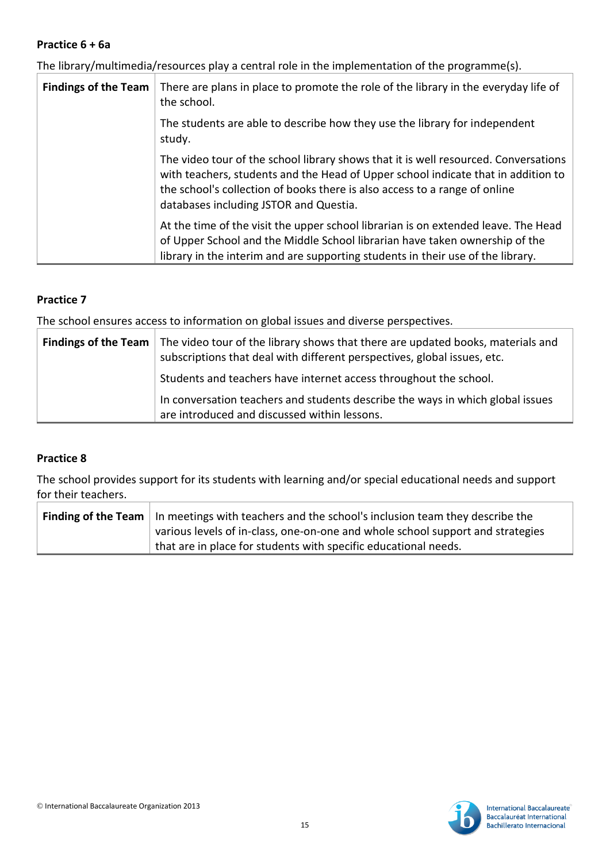#### **Practice 6 + 6a**

The library/multimedia/resources play a central role in the implementation of the programme(s).

| <b>Findings of the Team</b> | There are plans in place to promote the role of the library in the everyday life of<br>the school.                                                                                                                                                                                               |
|-----------------------------|--------------------------------------------------------------------------------------------------------------------------------------------------------------------------------------------------------------------------------------------------------------------------------------------------|
|                             | The students are able to describe how they use the library for independent<br>study.                                                                                                                                                                                                             |
|                             | The video tour of the school library shows that it is well resourced. Conversations<br>with teachers, students and the Head of Upper school indicate that in addition to<br>the school's collection of books there is also access to a range of online<br>databases including JSTOR and Questia. |
|                             | At the time of the visit the upper school librarian is on extended leave. The Head<br>of Upper School and the Middle School librarian have taken ownership of the<br>library in the interim and are supporting students in their use of the library.                                             |

#### **Practice 7**

The school ensures access to information on global issues and diverse perspectives.

| <b>Findings of the Team</b> The video tour of the library shows that there are updated books, materials and<br>subscriptions that deal with different perspectives, global issues, etc. |
|-----------------------------------------------------------------------------------------------------------------------------------------------------------------------------------------|
| Students and teachers have internet access throughout the school.                                                                                                                       |
| In conversation teachers and students describe the ways in which global issues<br>are introduced and discussed within lessons.                                                          |

#### **Practice 8**

The school provides support for its students with learning and/or special educational needs and support for their teachers.

| <b>Finding of the Team</b> In meetings with teachers and the school's inclusion team they describe the |
|--------------------------------------------------------------------------------------------------------|
| various levels of in-class, one-on-one and whole school support and strategies                         |
| that are in place for students with specific educational needs.                                        |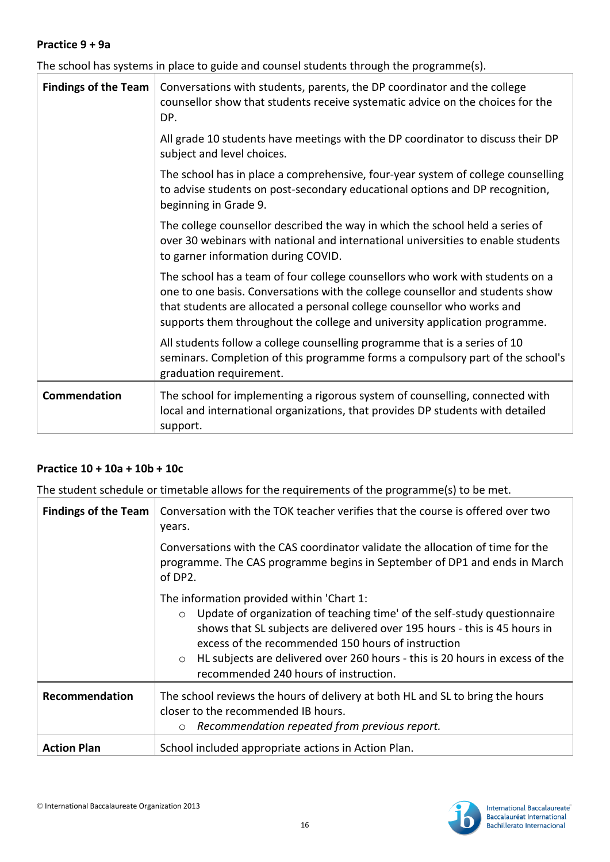#### **Practice 9 + 9a**

The school has systems in place to guide and counsel students through the programme(s).

| <b>Findings of the Team</b> | Conversations with students, parents, the DP coordinator and the college<br>counsellor show that students receive systematic advice on the choices for the<br>DP.                                                                                                                                                       |
|-----------------------------|-------------------------------------------------------------------------------------------------------------------------------------------------------------------------------------------------------------------------------------------------------------------------------------------------------------------------|
|                             | All grade 10 students have meetings with the DP coordinator to discuss their DP<br>subject and level choices.                                                                                                                                                                                                           |
|                             | The school has in place a comprehensive, four-year system of college counselling<br>to advise students on post-secondary educational options and DP recognition,<br>beginning in Grade 9.                                                                                                                               |
|                             | The college counsellor described the way in which the school held a series of<br>over 30 webinars with national and international universities to enable students<br>to garner information during COVID.                                                                                                                |
|                             | The school has a team of four college counsellors who work with students on a<br>one to one basis. Conversations with the college counsellor and students show<br>that students are allocated a personal college counsellor who works and<br>supports them throughout the college and university application programme. |
|                             | All students follow a college counselling programme that is a series of 10<br>seminars. Completion of this programme forms a compulsory part of the school's<br>graduation requirement.                                                                                                                                 |
| Commendation                | The school for implementing a rigorous system of counselling, connected with<br>local and international organizations, that provides DP students with detailed<br>support.                                                                                                                                              |

#### **Practice 10 + 10a + 10b + 10c**

The student schedule or timetable allows for the requirements of the programme(s) to be met.

| <b>Findings of the Team</b> | Conversation with the TOK teacher verifies that the course is offered over two<br>years.                                                                                                                                                                                                                                                                                                                |
|-----------------------------|---------------------------------------------------------------------------------------------------------------------------------------------------------------------------------------------------------------------------------------------------------------------------------------------------------------------------------------------------------------------------------------------------------|
|                             | Conversations with the CAS coordinator validate the allocation of time for the<br>programme. The CAS programme begins in September of DP1 and ends in March<br>of DP2.                                                                                                                                                                                                                                  |
|                             | The information provided within 'Chart 1:<br>Update of organization of teaching time' of the self-study questionnaire<br>$\circ$<br>shows that SL subjects are delivered over 195 hours - this is 45 hours in<br>excess of the recommended 150 hours of instruction<br>HL subjects are delivered over 260 hours - this is 20 hours in excess of the<br>$\circ$<br>recommended 240 hours of instruction. |
| Recommendation              | The school reviews the hours of delivery at both HL and SL to bring the hours<br>closer to the recommended IB hours.<br>Recommendation repeated from previous report.<br>$\circ$                                                                                                                                                                                                                        |
| <b>Action Plan</b>          | School included appropriate actions in Action Plan.                                                                                                                                                                                                                                                                                                                                                     |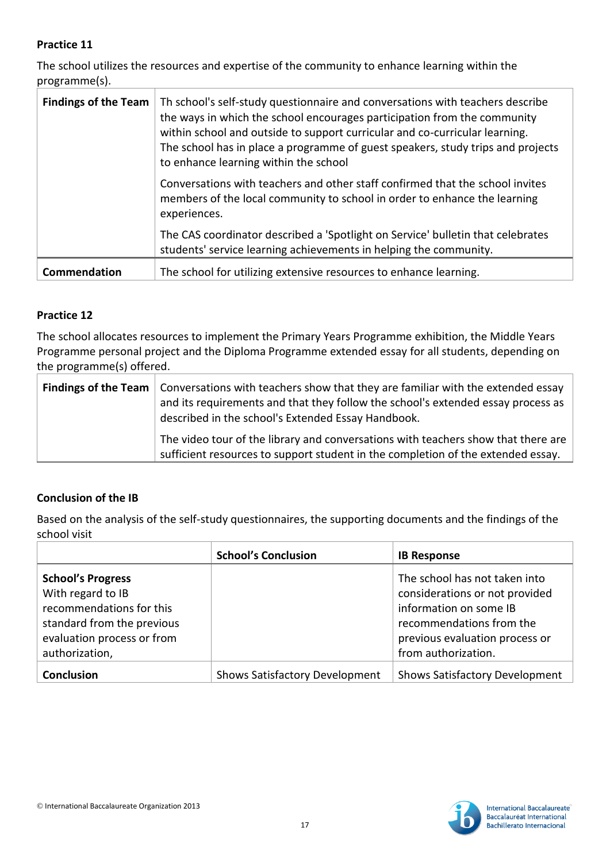The school utilizes the resources and expertise of the community to enhance learning within the programme(s).

| <b>Findings of the Team</b> | Th school's self-study questionnaire and conversations with teachers describe<br>the ways in which the school encourages participation from the community<br>within school and outside to support curricular and co-curricular learning.<br>The school has in place a programme of guest speakers, study trips and projects<br>to enhance learning within the school |
|-----------------------------|----------------------------------------------------------------------------------------------------------------------------------------------------------------------------------------------------------------------------------------------------------------------------------------------------------------------------------------------------------------------|
|                             | Conversations with teachers and other staff confirmed that the school invites<br>members of the local community to school in order to enhance the learning<br>experiences.                                                                                                                                                                                           |
|                             | The CAS coordinator described a 'Spotlight on Service' bulletin that celebrates<br>students' service learning achievements in helping the community.                                                                                                                                                                                                                 |
| Commendation                | The school for utilizing extensive resources to enhance learning.                                                                                                                                                                                                                                                                                                    |

#### **Practice 12**

The school allocates resources to implement the Primary Years Programme exhibition, the Middle Years Programme personal project and the Diploma Programme extended essay for all students, depending on the programme(s) offered.

| <b>Findings of the Team</b> $\vert$ Conversations with teachers show that they are familiar with the extended essay<br>and its requirements and that they follow the school's extended essay process as<br>described in the school's Extended Essay Handbook. |
|---------------------------------------------------------------------------------------------------------------------------------------------------------------------------------------------------------------------------------------------------------------|
| The video tour of the library and conversations with teachers show that there are<br>sufficient resources to support student in the completion of the extended essay.                                                                                         |

# **Conclusion of the IB**

Based on the analysis of the self-study questionnaires, the supporting documents and the findings of the school visit

|                                                                                                                                                         | <b>School's Conclusion</b>            | <b>IB Response</b>                                                                                                                                                             |
|---------------------------------------------------------------------------------------------------------------------------------------------------------|---------------------------------------|--------------------------------------------------------------------------------------------------------------------------------------------------------------------------------|
| <b>School's Progress</b><br>With regard to IB<br>recommendations for this<br>standard from the previous<br>evaluation process or from<br>authorization, |                                       | The school has not taken into<br>considerations or not provided<br>information on some IB<br>recommendations from the<br>previous evaluation process or<br>from authorization. |
| <b>Conclusion</b>                                                                                                                                       | <b>Shows Satisfactory Development</b> | <b>Shows Satisfactory Development</b>                                                                                                                                          |

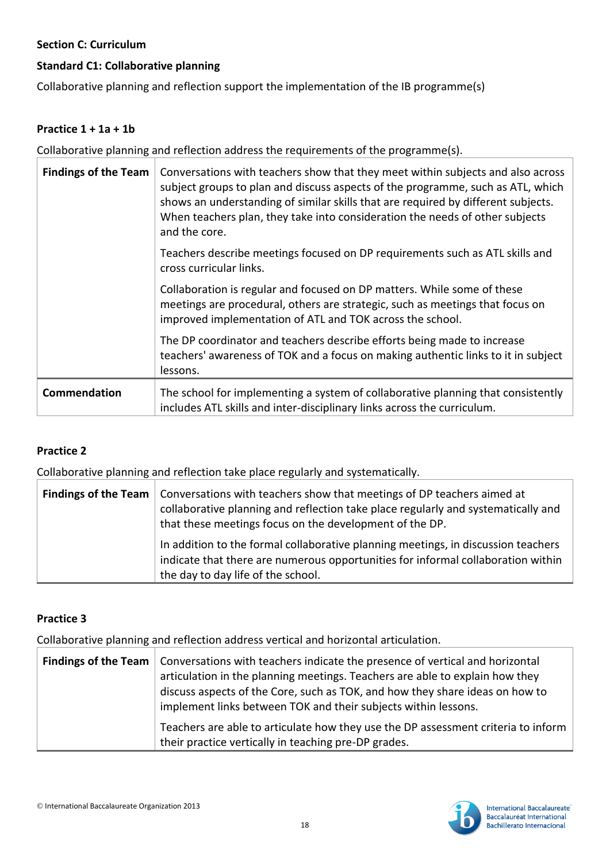## **Section C: Curriculum**

# **Standard C1: Collaborative planning**

Collaborative planning and reflection support the implementation of the IB programme(s)

#### **Practice 1 + 1a + 1b**

Collaborative planning and reflection address the requirements of the programme(s).

| <b>Findings of the Team</b> | Conversations with teachers show that they meet within subjects and also across<br>subject groups to plan and discuss aspects of the programme, such as ATL, which<br>shows an understanding of similar skills that are required by different subjects.<br>When teachers plan, they take into consideration the needs of other subjects<br>and the core. |
|-----------------------------|----------------------------------------------------------------------------------------------------------------------------------------------------------------------------------------------------------------------------------------------------------------------------------------------------------------------------------------------------------|
|                             | Teachers describe meetings focused on DP requirements such as ATL skills and<br>cross curricular links.                                                                                                                                                                                                                                                  |
|                             | Collaboration is regular and focused on DP matters. While some of these<br>meetings are procedural, others are strategic, such as meetings that focus on<br>improved implementation of ATL and TOK across the school.                                                                                                                                    |
|                             | The DP coordinator and teachers describe efforts being made to increase<br>teachers' awareness of TOK and a focus on making authentic links to it in subject<br>lessons.                                                                                                                                                                                 |
| Commendation                | The school for implementing a system of collaborative planning that consistently<br>includes ATL skills and inter-disciplinary links across the curriculum.                                                                                                                                                                                              |

# **Practice 2**

Collaborative planning and reflection take place regularly and systematically.

| <b>Findings of the Team</b>   Conversations with teachers show that meetings of DP teachers aimed at<br>collaborative planning and reflection take place regularly and systematically and<br>that these meetings focus on the development of the DP. |  |
|------------------------------------------------------------------------------------------------------------------------------------------------------------------------------------------------------------------------------------------------------|--|
| In addition to the formal collaborative planning meetings, in discussion teachers<br>indicate that there are numerous opportunities for informal collaboration within<br>the day to day life of the school.                                          |  |

#### **Practice 3**

Collaborative planning and reflection address vertical and horizontal articulation.

| <b>Findings of the Team</b>   Conversations with teachers indicate the presence of vertical and horizontal<br>articulation in the planning meetings. Teachers are able to explain how they<br>discuss aspects of the Core, such as TOK, and how they share ideas on how to<br>implement links between TOK and their subjects within lessons. |
|----------------------------------------------------------------------------------------------------------------------------------------------------------------------------------------------------------------------------------------------------------------------------------------------------------------------------------------------|
| Teachers are able to articulate how they use the DP assessment criteria to inform<br>their practice vertically in teaching pre-DP grades.                                                                                                                                                                                                    |

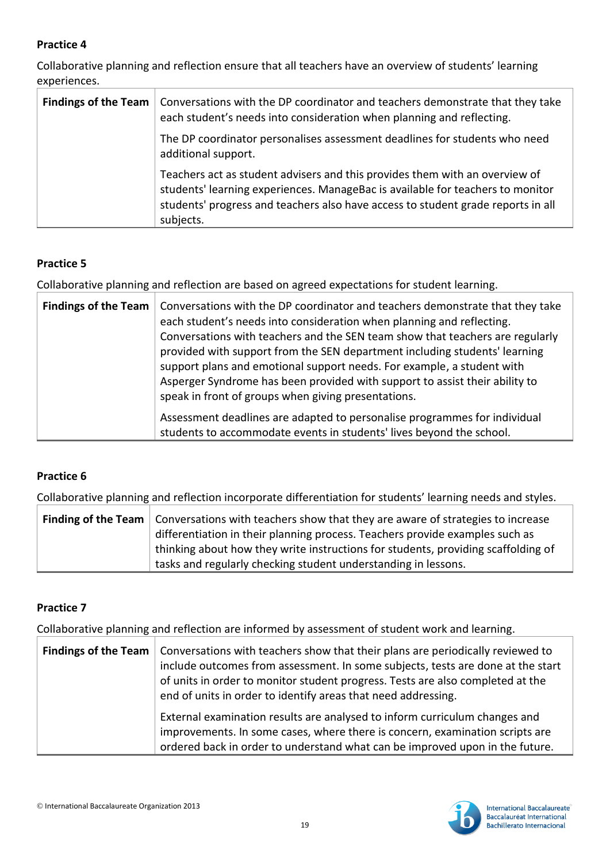Collaborative planning and reflection ensure that all teachers have an overview of students' learning experiences.

| <b>Findings of the Team</b> | Conversations with the DP coordinator and teachers demonstrate that they take<br>each student's needs into consideration when planning and reflecting.                                                                                                         |
|-----------------------------|----------------------------------------------------------------------------------------------------------------------------------------------------------------------------------------------------------------------------------------------------------------|
|                             | The DP coordinator personalises assessment deadlines for students who need<br>additional support.                                                                                                                                                              |
|                             | Teachers act as student advisers and this provides them with an overview of<br>students' learning experiences. ManageBac is available for teachers to monitor<br>students' progress and teachers also have access to student grade reports in all<br>subjects. |

# **Practice 5**

Collaborative planning and reflection are based on agreed expectations for student learning.

| Findings of the Team   Conversations with the DP coordinator and teachers demonstrate that they take<br>each student's needs into consideration when planning and reflecting.<br>Conversations with teachers and the SEN team show that teachers are regularly<br>provided with support from the SEN department including students' learning<br>support plans and emotional support needs. For example, a student with<br>Asperger Syndrome has been provided with support to assist their ability to<br>speak in front of groups when giving presentations. |
|--------------------------------------------------------------------------------------------------------------------------------------------------------------------------------------------------------------------------------------------------------------------------------------------------------------------------------------------------------------------------------------------------------------------------------------------------------------------------------------------------------------------------------------------------------------|
| Assessment deadlines are adapted to personalise programmes for individual<br>students to accommodate events in students' lives beyond the school.                                                                                                                                                                                                                                                                                                                                                                                                            |

# **Practice 6**

Collaborative planning and reflection incorporate differentiation for students' learning needs and styles.

|  | <b>Finding of the Team</b> $\vert$ Conversations with teachers show that they are aware of strategies to increase |  |
|--|-------------------------------------------------------------------------------------------------------------------|--|
|  | differentiation in their planning process. Teachers provide examples such as                                      |  |
|  | thinking about how they write instructions for students, providing scaffolding of                                 |  |
|  | tasks and regularly checking student understanding in lessons.                                                    |  |

#### **Practice 7**

Collaborative planning and reflection are informed by assessment of student work and learning.

| <b>Findings of the Team</b>   Conversations with teachers show that their plans are periodically reviewed to<br>include outcomes from assessment. In some subjects, tests are done at the start<br>of units in order to monitor student progress. Tests are also completed at the<br>end of units in order to identify areas that need addressing. |
|----------------------------------------------------------------------------------------------------------------------------------------------------------------------------------------------------------------------------------------------------------------------------------------------------------------------------------------------------|
| External examination results are analysed to inform curriculum changes and<br>improvements. In some cases, where there is concern, examination scripts are<br>ordered back in order to understand what can be improved upon in the future.                                                                                                         |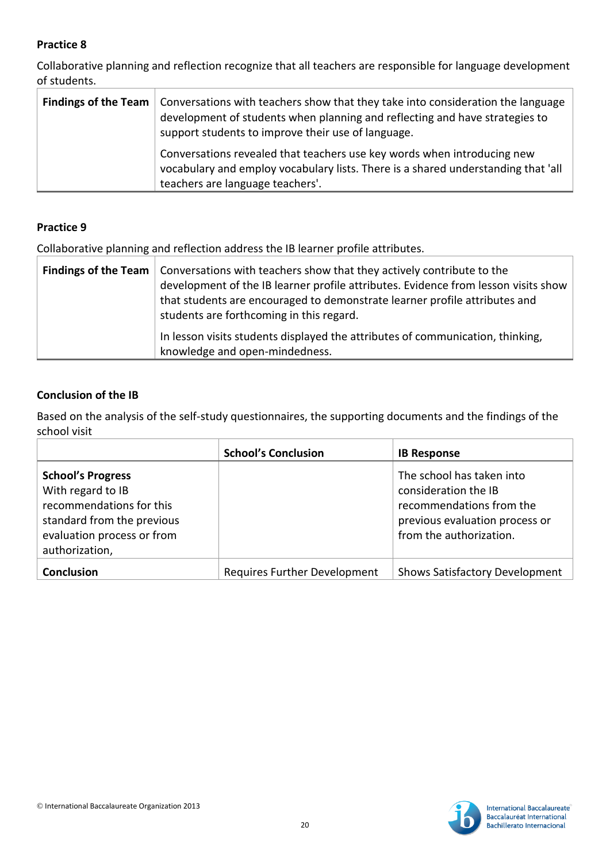Collaborative planning and reflection recognize that all teachers are responsible for language development of students.

| <b>Findings of the Team</b>   Conversations with teachers show that they take into consideration the language<br>development of students when planning and reflecting and have strategies to<br>support students to improve their use of language. |
|----------------------------------------------------------------------------------------------------------------------------------------------------------------------------------------------------------------------------------------------------|
| Conversations revealed that teachers use key words when introducing new<br>vocabulary and employ vocabulary lists. There is a shared understanding that 'all<br>teachers are language teachers'.                                                   |

# **Practice 9**

Collaborative planning and reflection address the IB learner profile attributes.

| <b>Findings of the Team</b>   Conversations with teachers show that they actively contribute to the<br>development of the IB learner profile attributes. Evidence from lesson visits show<br>that students are encouraged to demonstrate learner profile attributes and<br>students are forthcoming in this regard. |
|---------------------------------------------------------------------------------------------------------------------------------------------------------------------------------------------------------------------------------------------------------------------------------------------------------------------|
| In lesson visits students displayed the attributes of communication, thinking,<br>knowledge and open-mindedness.                                                                                                                                                                                                    |

# **Conclusion of the IB**

Based on the analysis of the self-study questionnaires, the supporting documents and the findings of the school visit

|                                                                                                                                                         | <b>School's Conclusion</b>          | <b>IB Response</b>                                                                                                                         |
|---------------------------------------------------------------------------------------------------------------------------------------------------------|-------------------------------------|--------------------------------------------------------------------------------------------------------------------------------------------|
| <b>School's Progress</b><br>With regard to IB<br>recommendations for this<br>standard from the previous<br>evaluation process or from<br>authorization, |                                     | The school has taken into<br>consideration the IB<br>recommendations from the<br>previous evaluation process or<br>from the authorization. |
| <b>Conclusion</b>                                                                                                                                       | <b>Requires Further Development</b> | <b>Shows Satisfactory Development</b>                                                                                                      |

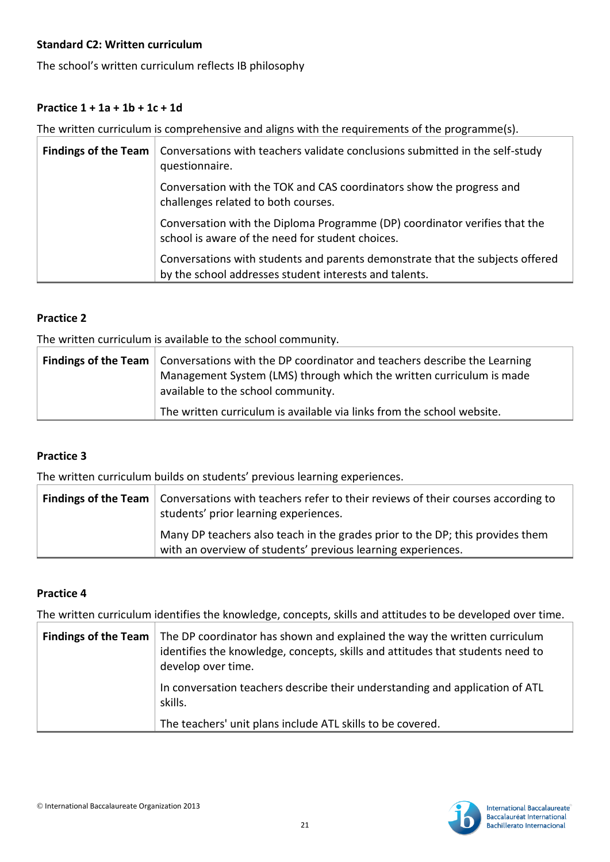## **Standard C2: Written curriculum**

The school's written curriculum reflects IB philosophy

# **Practice 1 + 1a + 1b + 1c + 1d**

The written curriculum is comprehensive and aligns with the requirements of the programme(s).

| <b>Findings of the Team</b>                                                             | Conversations with teachers validate conclusions submitted in the self-study<br>questionnaire.                                          |
|-----------------------------------------------------------------------------------------|-----------------------------------------------------------------------------------------------------------------------------------------|
| challenges related to both courses.<br>school is aware of the need for student choices. | Conversation with the TOK and CAS coordinators show the progress and                                                                    |
|                                                                                         | Conversation with the Diploma Programme (DP) coordinator verifies that the                                                              |
|                                                                                         | Conversations with students and parents demonstrate that the subjects offered<br>by the school addresses student interests and talents. |

#### **Practice 2**

The written curriculum is available to the school community.

| <b>Findings of the Team</b>   Conversations with the DP coordinator and teachers describe the Learning |
|--------------------------------------------------------------------------------------------------------|
| Management System (LMS) through which the written curriculum is made                                   |
| available to the school community.                                                                     |
| The written curriculum is available via links from the school website.                                 |

# **Practice 3**

The written curriculum builds on students' previous learning experiences.

| <b>Findings of the Team</b>   Conversations with teachers refer to their reviews of their courses according to<br>students' prior learning experiences. |
|---------------------------------------------------------------------------------------------------------------------------------------------------------|
| Many DP teachers also teach in the grades prior to the DP; this provides them<br>with an overview of students' previous learning experiences.           |

#### **Practice 4**

The written curriculum identifies the knowledge, concepts, skills and attitudes to be developed over time.

| <b>Findings of the Team</b> The DP coordinator has shown and explained the way the written curriculum<br>identifies the knowledge, concepts, skills and attitudes that students need to<br>develop over time. |
|---------------------------------------------------------------------------------------------------------------------------------------------------------------------------------------------------------------|
| In conversation teachers describe their understanding and application of ATL<br>skills.                                                                                                                       |
| The teachers' unit plans include ATL skills to be covered.                                                                                                                                                    |

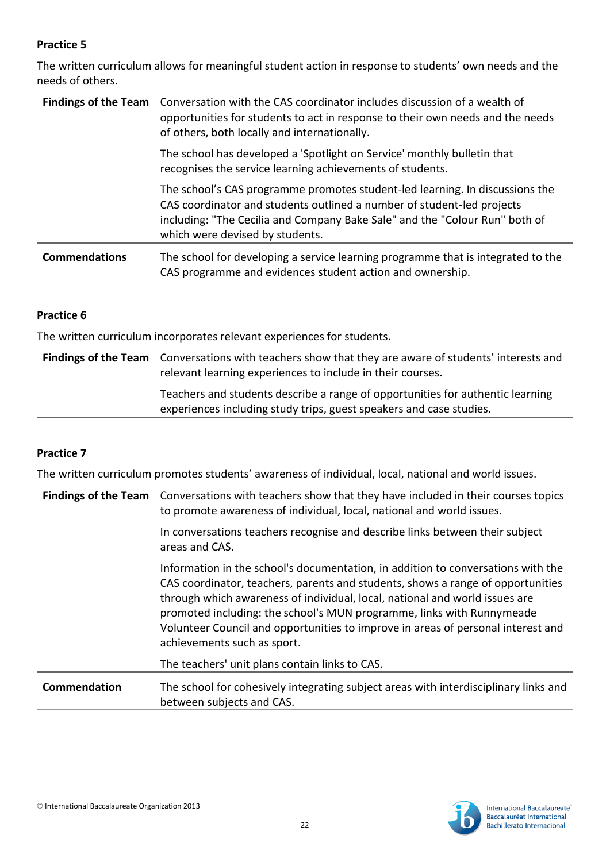The written curriculum allows for meaningful student action in response to students' own needs and the needs of others.

| <b>Findings of the Team</b> | Conversation with the CAS coordinator includes discussion of a wealth of<br>opportunities for students to act in response to their own needs and the needs<br>of others, both locally and internationally.                                                               |
|-----------------------------|--------------------------------------------------------------------------------------------------------------------------------------------------------------------------------------------------------------------------------------------------------------------------|
|                             | The school has developed a 'Spotlight on Service' monthly bulletin that<br>recognises the service learning achievements of students.                                                                                                                                     |
|                             | The school's CAS programme promotes student-led learning. In discussions the<br>CAS coordinator and students outlined a number of student-led projects<br>including: "The Cecilia and Company Bake Sale" and the "Colour Run" both of<br>which were devised by students. |
| <b>Commendations</b>        | The school for developing a service learning programme that is integrated to the<br>CAS programme and evidences student action and ownership.                                                                                                                            |

# **Practice 6**

The written curriculum incorporates relevant experiences for students.

| <b>Findings of the Team</b> Conversations with teachers show that they are aware of students' interests and<br>relevant learning experiences to include in their courses. |
|---------------------------------------------------------------------------------------------------------------------------------------------------------------------------|
| Teachers and students describe a range of opportunities for authentic learning<br>experiences including study trips, guest speakers and case studies.                     |

# **Practice 7**

The written curriculum promotes students' awareness of individual, local, national and world issues.

| <b>Findings of the Team</b> | Conversations with teachers show that they have included in their courses topics<br>to promote awareness of individual, local, national and world issues.                                                                                                                                                                                                                                                                                      |
|-----------------------------|------------------------------------------------------------------------------------------------------------------------------------------------------------------------------------------------------------------------------------------------------------------------------------------------------------------------------------------------------------------------------------------------------------------------------------------------|
|                             | In conversations teachers recognise and describe links between their subject<br>areas and CAS.                                                                                                                                                                                                                                                                                                                                                 |
|                             | Information in the school's documentation, in addition to conversations with the<br>CAS coordinator, teachers, parents and students, shows a range of opportunities<br>through which awareness of individual, local, national and world issues are<br>promoted including: the school's MUN programme, links with Runnymeade<br>Volunteer Council and opportunities to improve in areas of personal interest and<br>achievements such as sport. |
|                             | The teachers' unit plans contain links to CAS.                                                                                                                                                                                                                                                                                                                                                                                                 |
| Commendation                | The school for cohesively integrating subject areas with interdisciplinary links and<br>between subjects and CAS.                                                                                                                                                                                                                                                                                                                              |

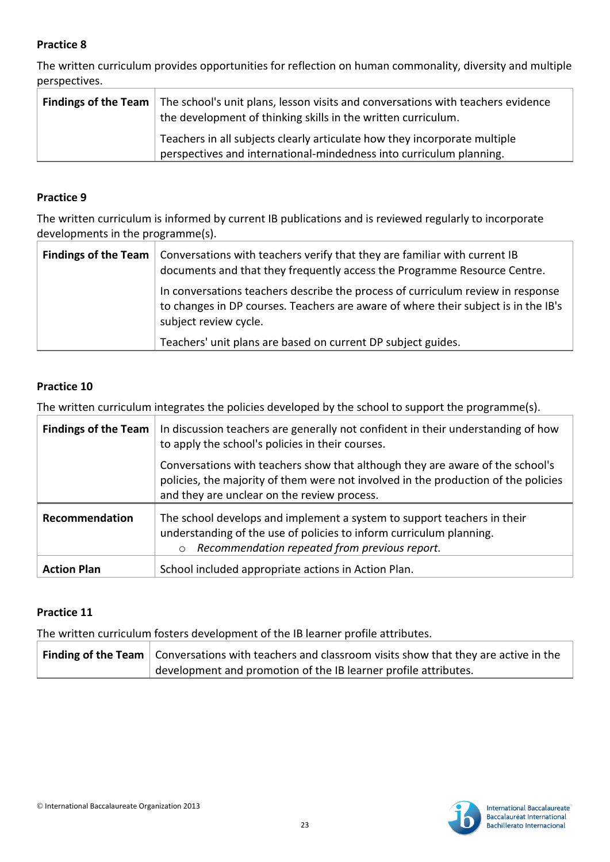The written curriculum provides opportunities for reflection on human commonality, diversity and multiple perspectives.

| <b>Findings of the Team</b> The school's unit plans, lesson visits and conversations with teachers evidence<br>the development of thinking skills in the written curriculum. |                                                                                                                                                  |
|------------------------------------------------------------------------------------------------------------------------------------------------------------------------------|--------------------------------------------------------------------------------------------------------------------------------------------------|
|                                                                                                                                                                              | Teachers in all subjects clearly articulate how they incorporate multiple<br>perspectives and international-mindedness into curriculum planning. |

#### **Practice 9**

The written curriculum is informed by current IB publications and is reviewed regularly to incorporate developments in the programme(s).

| <b>Findings of the Team</b> | Conversations with teachers verify that they are familiar with current IB<br>documents and that they frequently access the Programme Resource Centre.                                          |
|-----------------------------|------------------------------------------------------------------------------------------------------------------------------------------------------------------------------------------------|
|                             | In conversations teachers describe the process of curriculum review in response<br>to changes in DP courses. Teachers are aware of where their subject is in the IB's<br>subject review cycle. |
|                             | Teachers' unit plans are based on current DP subject guides.                                                                                                                                   |

#### **Practice 10**

The written curriculum integrates the policies developed by the school to support the programme(s).

| <b>Findings of the Team</b> | In discussion teachers are generally not confident in their understanding of how<br>to apply the school's policies in their courses.                                                                               |
|-----------------------------|--------------------------------------------------------------------------------------------------------------------------------------------------------------------------------------------------------------------|
|                             | Conversations with teachers show that although they are aware of the school's<br>policies, the majority of them were not involved in the production of the policies<br>and they are unclear on the review process. |
| Recommendation              | The school develops and implement a system to support teachers in their<br>understanding of the use of policies to inform curriculum planning.<br>Recommendation repeated from previous report.<br>$\circ$         |
| <b>Action Plan</b>          | School included appropriate actions in Action Plan.                                                                                                                                                                |

#### **Practice 11**

The written curriculum fosters development of the IB learner profile attributes.

**Finding of the Team** Conversations with teachers and classroom visits show that they are active in the development and promotion of the IB learner profile attributes.

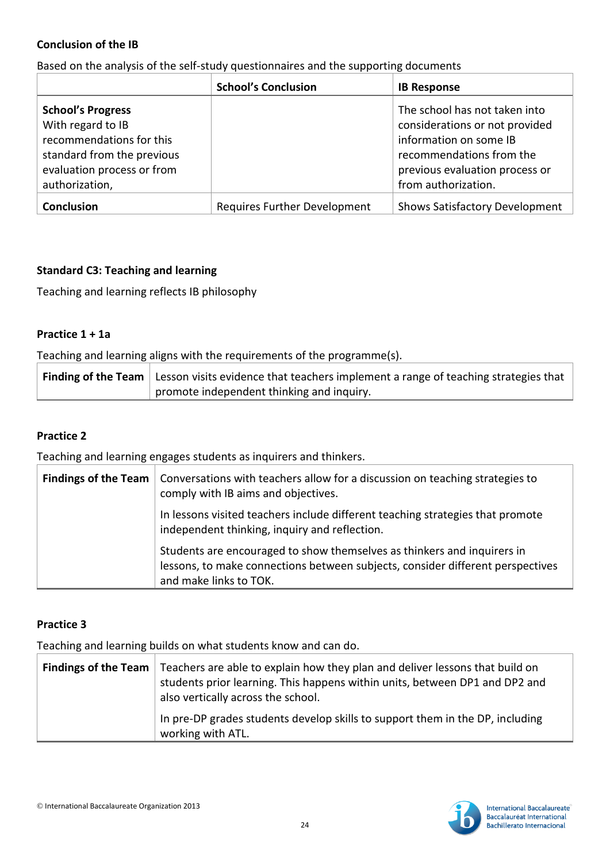#### **Conclusion of the IB**

Based on the analysis of the self-study questionnaires and the supporting documents

|                                                                                                                                                         | <b>School's Conclusion</b>          | <b>IB Response</b>                                                                                                                                                             |
|---------------------------------------------------------------------------------------------------------------------------------------------------------|-------------------------------------|--------------------------------------------------------------------------------------------------------------------------------------------------------------------------------|
| <b>School's Progress</b><br>With regard to IB<br>recommendations for this<br>standard from the previous<br>evaluation process or from<br>authorization, |                                     | The school has not taken into<br>considerations or not provided<br>information on some IB<br>recommendations from the<br>previous evaluation process or<br>from authorization. |
| <b>Conclusion</b>                                                                                                                                       | <b>Requires Further Development</b> | <b>Shows Satisfactory Development</b>                                                                                                                                          |

#### **Standard C3: Teaching and learning**

Teaching and learning reflects IB philosophy

#### **Practice 1 + 1a**

Teaching and learning aligns with the requirements of the programme(s).

| <b>Finding of the Team</b> Lesson visits evidence that teachers implement a range of teaching strategies that |  |
|---------------------------------------------------------------------------------------------------------------|--|
| promote independent thinking and inquiry.                                                                     |  |

#### **Practice 2**

Teaching and learning engages students as inquirers and thinkers.

| Findings of the Team   Conversations with teachers allow for a discussion on teaching strategies to<br>comply with IB aims and objectives.                                          |
|-------------------------------------------------------------------------------------------------------------------------------------------------------------------------------------|
| In lessons visited teachers include different teaching strategies that promote<br>independent thinking, inquiry and reflection.                                                     |
| Students are encouraged to show themselves as thinkers and inquirers in<br>lessons, to make connections between subjects, consider different perspectives<br>and make links to TOK. |

#### **Practice 3**

Teaching and learning builds on what students know and can do.

| <b>Findings of the Team</b> Teachers are able to explain how they plan and deliver lessons that build on<br>students prior learning. This happens within units, between DP1 and DP2 and<br>also vertically across the school. |
|-------------------------------------------------------------------------------------------------------------------------------------------------------------------------------------------------------------------------------|
| In pre-DP grades students develop skills to support them in the DP, including<br>working with ATL.                                                                                                                            |



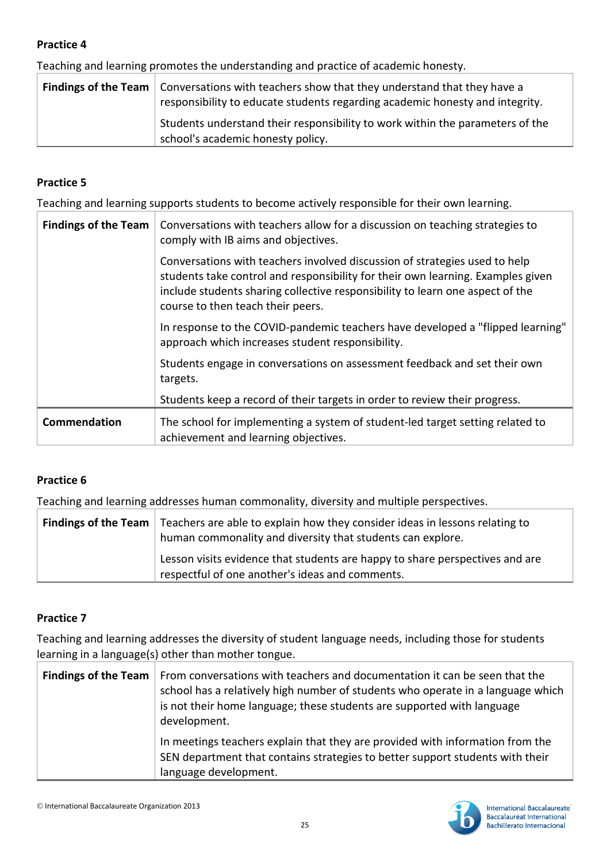Teaching and learning promotes the understanding and practice of academic honesty.

| <b>Findings of the Team</b> $\vert$ Conversations with teachers show that they understand that they have a<br>responsibility to educate students regarding academic honesty and integrity. |
|--------------------------------------------------------------------------------------------------------------------------------------------------------------------------------------------|
| Students understand their responsibility to work within the parameters of the<br>school's academic honesty policy.                                                                         |

# **Practice 5**

Teaching and learning supports students to become actively responsible for their own learning.

| <b>Findings of the Team</b> | Conversations with teachers allow for a discussion on teaching strategies to<br>comply with IB aims and objectives.                                                                                                                                                                 |
|-----------------------------|-------------------------------------------------------------------------------------------------------------------------------------------------------------------------------------------------------------------------------------------------------------------------------------|
|                             | Conversations with teachers involved discussion of strategies used to help<br>students take control and responsibility for their own learning. Examples given<br>include students sharing collective responsibility to learn one aspect of the<br>course to then teach their peers. |
|                             | In response to the COVID-pandemic teachers have developed a "flipped learning"<br>approach which increases student responsibility.                                                                                                                                                  |
|                             | Students engage in conversations on assessment feedback and set their own<br>targets.                                                                                                                                                                                               |
|                             | Students keep a record of their targets in order to review their progress.                                                                                                                                                                                                          |
| Commendation                | The school for implementing a system of student-led target setting related to<br>achievement and learning objectives.                                                                                                                                                               |

# **Practice 6**

Teaching and learning addresses human commonality, diversity and multiple perspectives.

| <b>Findings of the Team</b> Teachers are able to explain how they consider ideas in lessons relating to<br>human commonality and diversity that students can explore. |
|-----------------------------------------------------------------------------------------------------------------------------------------------------------------------|
| Lesson visits evidence that students are happy to share perspectives and are<br>respectful of one another's ideas and comments.                                       |

# **Practice 7**

Teaching and learning addresses the diversity of student language needs, including those for students learning in a language(s) other than mother tongue.

| Findings of the Team   From conversations with teachers and documentation it can be seen that the<br>school has a relatively high number of students who operate in a language which<br>is not their home language; these students are supported with language<br>development. |
|--------------------------------------------------------------------------------------------------------------------------------------------------------------------------------------------------------------------------------------------------------------------------------|
| In meetings teachers explain that they are provided with information from the<br>SEN department that contains strategies to better support students with their<br>language development.                                                                                        |

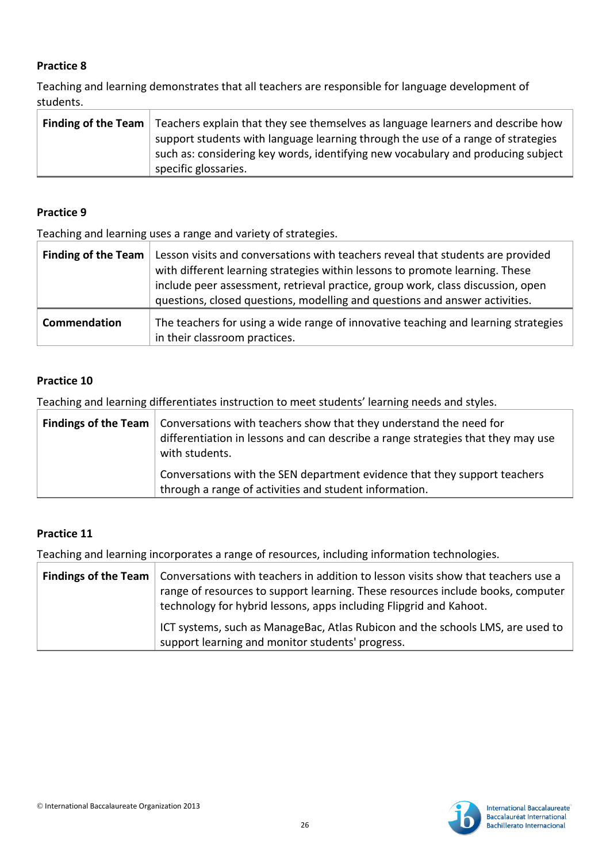Teaching and learning demonstrates that all teachers are responsible for language development of students.

| <b>Finding of the Team</b> Teachers explain that they see themselves as language learners and describe how |
|------------------------------------------------------------------------------------------------------------|
| support students with language learning through the use of a range of strategies                           |
| such as: considering key words, identifying new vocabulary and producing subject                           |
| specific glossaries.                                                                                       |

#### **Practice 9**

Teaching and learning uses a range and variety of strategies.

| <b>Finding of the Team</b> | Lesson visits and conversations with teachers reveal that students are provided<br>with different learning strategies within lessons to promote learning. These<br>include peer assessment, retrieval practice, group work, class discussion, open<br>questions, closed questions, modelling and questions and answer activities. |
|----------------------------|-----------------------------------------------------------------------------------------------------------------------------------------------------------------------------------------------------------------------------------------------------------------------------------------------------------------------------------|
| Commendation               | The teachers for using a wide range of innovative teaching and learning strategies<br>in their classroom practices.                                                                                                                                                                                                               |

#### **Practice 10**

Teaching and learning differentiates instruction to meet students' learning needs and styles.

| <b>Findings of the Team</b> $\vert$ Conversations with teachers show that they understand the need for<br>differentiation in lessons and can describe a range strategies that they may use<br>with students. |
|--------------------------------------------------------------------------------------------------------------------------------------------------------------------------------------------------------------|
| Conversations with the SEN department evidence that they support teachers<br>through a range of activities and student information.                                                                          |

# **Practice 11**

Teaching and learning incorporates a range of resources, including information technologies.

| <b>Findings of the Team</b>   Conversations with teachers in addition to lesson visits show that teachers use a<br>range of resources to support learning. These resources include books, computer<br>technology for hybrid lessons, apps including Flipgrid and Kahoot. |
|--------------------------------------------------------------------------------------------------------------------------------------------------------------------------------------------------------------------------------------------------------------------------|
| ICT systems, such as ManageBac, Atlas Rubicon and the schools LMS, are used to<br>support learning and monitor students' progress.                                                                                                                                       |

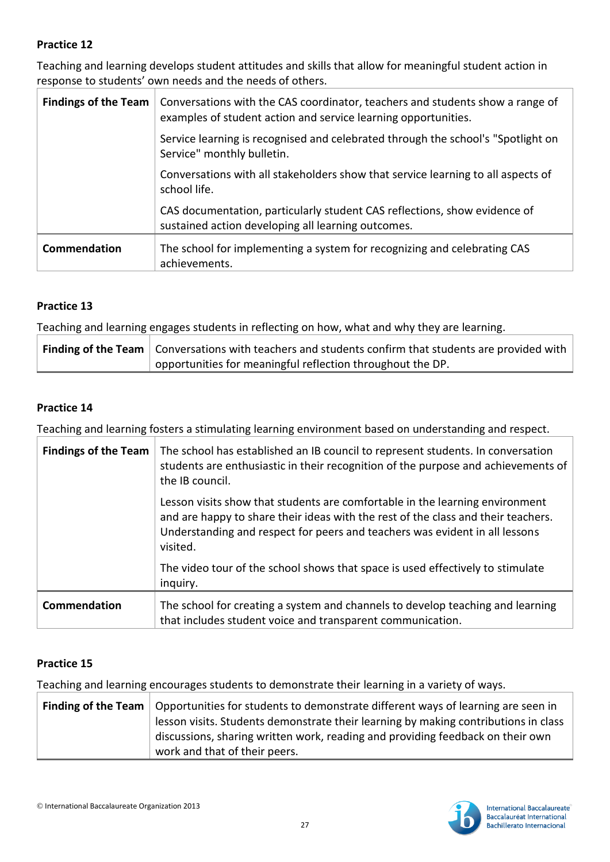Teaching and learning develops student attitudes and skills that allow for meaningful student action in response to students' own needs and the needs of others.

| <b>Findings of the Team</b> | Conversations with the CAS coordinator, teachers and students show a range of<br>examples of student action and service learning opportunities. |
|-----------------------------|-------------------------------------------------------------------------------------------------------------------------------------------------|
|                             | Service learning is recognised and celebrated through the school's "Spotlight on<br>Service" monthly bulletin.                                  |
|                             | Conversations with all stakeholders show that service learning to all aspects of<br>school life.                                                |
|                             | CAS documentation, particularly student CAS reflections, show evidence of<br>sustained action developing all learning outcomes.                 |
| Commendation                | The school for implementing a system for recognizing and celebrating CAS<br>achievements.                                                       |

# **Practice 13**

Teaching and learning engages students in reflecting on how, what and why they are learning.

| <b>Finding of the Team</b> Conversations with teachers and students confirm that students are provided with |
|-------------------------------------------------------------------------------------------------------------|
| $\alpha$ opportunities for meaningful reflection throughout the DP.                                         |

# **Practice 14**

Teaching and learning fosters a stimulating learning environment based on understanding and respect.

| <b>Findings of the Team</b> | The school has established an IB council to represent students. In conversation<br>students are enthusiastic in their recognition of the purpose and achievements of<br>the IB council.                                                                      |
|-----------------------------|--------------------------------------------------------------------------------------------------------------------------------------------------------------------------------------------------------------------------------------------------------------|
|                             | Lesson visits show that students are comfortable in the learning environment<br>and are happy to share their ideas with the rest of the class and their teachers.<br>Understanding and respect for peers and teachers was evident in all lessons<br>visited. |
|                             | The video tour of the school shows that space is used effectively to stimulate<br>inquiry.                                                                                                                                                                   |
| Commendation                | The school for creating a system and channels to develop teaching and learning<br>that includes student voice and transparent communication.                                                                                                                 |

# **Practice 15**

Teaching and learning encourages students to demonstrate their learning in a variety of ways.

| <b>Finding of the Team</b>   Opportunities for students to demonstrate different ways of learning are seen in |
|---------------------------------------------------------------------------------------------------------------|
| lesson visits. Students demonstrate their learning by making contributions in class                           |
| discussions, sharing written work, reading and providing feedback on their own                                |
| work and that of their peers.                                                                                 |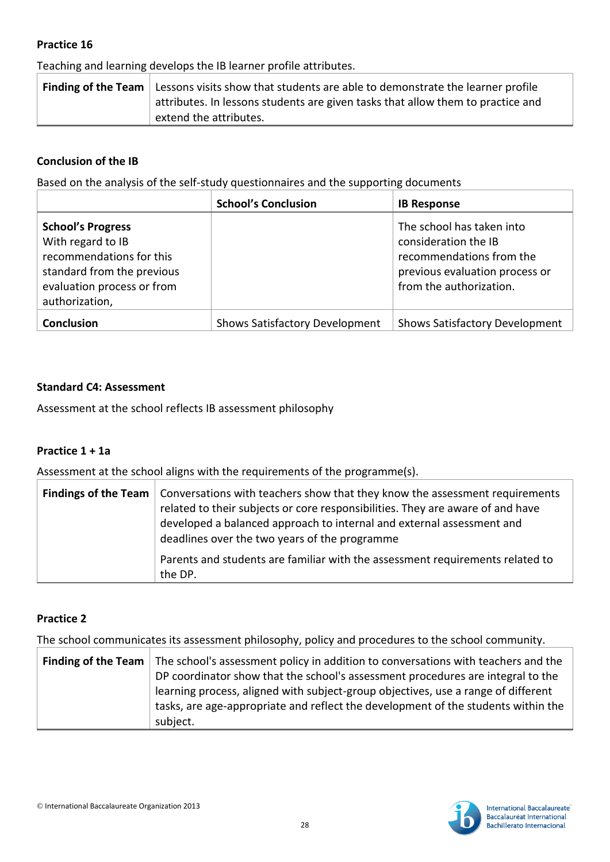Teaching and learning develops the IB learner profile attributes.

| <b>Finding of the Team</b> Lessons visits show that students are able to demonstrate the learner profile |
|----------------------------------------------------------------------------------------------------------|
| attributes. In lessons students are given tasks that allow them to practice and                          |
| extend the attributes.                                                                                   |

# **Conclusion of the IB**

Based on the analysis of the self-study questionnaires and the supporting documents

|                                                                                                                                                         | <b>School's Conclusion</b>            | <b>IB Response</b>                                                                                                                         |
|---------------------------------------------------------------------------------------------------------------------------------------------------------|---------------------------------------|--------------------------------------------------------------------------------------------------------------------------------------------|
| <b>School's Progress</b><br>With regard to IB<br>recommendations for this<br>standard from the previous<br>evaluation process or from<br>authorization, |                                       | The school has taken into<br>consideration the IB<br>recommendations from the<br>previous evaluation process or<br>from the authorization. |
| <b>Conclusion</b>                                                                                                                                       | <b>Shows Satisfactory Development</b> | <b>Shows Satisfactory Development</b>                                                                                                      |

# **Standard C4: Assessment**

Assessment at the school reflects IB assessment philosophy

#### **Practice 1 + 1a**

Assessment at the school aligns with the requirements of the programme(s).

| <b>Findings of the Team</b>   Conversations with teachers show that they know the assessment requirements<br>related to their subjects or core responsibilities. They are aware of and have<br>developed a balanced approach to internal and external assessment and<br>deadlines over the two years of the programme |
|-----------------------------------------------------------------------------------------------------------------------------------------------------------------------------------------------------------------------------------------------------------------------------------------------------------------------|
| Parents and students are familiar with the assessment requirements related to<br>the DP.                                                                                                                                                                                                                              |

#### **Practice 2**

The school communicates its assessment philosophy, policy and procedures to the school community.

| <b>Finding of the Team</b> The school's assessment policy in addition to conversations with teachers and the |
|--------------------------------------------------------------------------------------------------------------|
| DP coordinator show that the school's assessment procedures are integral to the                              |
| learning process, aligned with subject-group objectives, use a range of different                            |
| tasks, are age-appropriate and reflect the development of the students within the                            |
| subject.                                                                                                     |

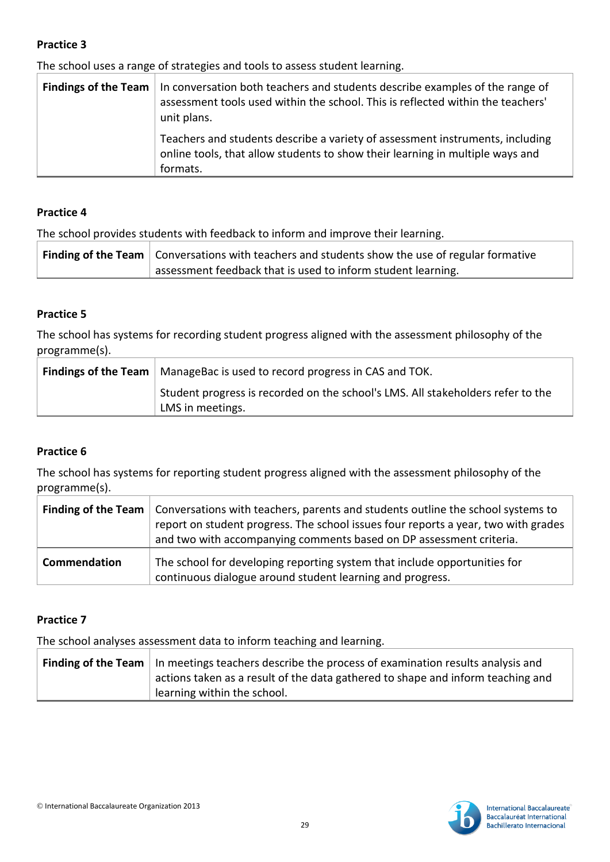The school uses a range of strategies and tools to assess student learning.

| <b>Findings of the Team</b>   In conversation both teachers and students describe examples of the range of<br>assessment tools used within the school. This is reflected within the teachers'<br>unit plans. |
|--------------------------------------------------------------------------------------------------------------------------------------------------------------------------------------------------------------|
| Teachers and students describe a variety of assessment instruments, including<br>online tools, that allow students to show their learning in multiple ways and<br>formats.                                   |

#### **Practice 4**

The school provides students with feedback to inform and improve their learning.

| <b>Finding of the Team</b> $\vert$ Conversations with teachers and students show the use of regular formative |
|---------------------------------------------------------------------------------------------------------------|
| assessment feedback that is used to inform student learning.                                                  |

# **Practice 5**

The school has systems for recording student progress aligned with the assessment philosophy of the programme(s).

| <b>Findings of the Team</b>   ManageBac is used to record progress in CAS and TOK.                  |
|-----------------------------------------------------------------------------------------------------|
| Student progress is recorded on the school's LMS. All stakeholders refer to the<br>LMS in meetings. |

#### **Practice 6**

The school has systems for reporting student progress aligned with the assessment philosophy of the programme(s).

|              | <b>Finding of the Team</b>   Conversations with teachers, parents and students outline the school systems to<br>report on student progress. The school issues four reports a year, two with grades<br>and two with accompanying comments based on DP assessment criteria. |
|--------------|---------------------------------------------------------------------------------------------------------------------------------------------------------------------------------------------------------------------------------------------------------------------------|
| Commendation | The school for developing reporting system that include opportunities for<br>continuous dialogue around student learning and progress.                                                                                                                                    |

#### **Practice 7**

The school analyses assessment data to inform teaching and learning.

| <b>Finding of the Team</b> $\vert$ In meetings teachers describe the process of examination results analysis and |
|------------------------------------------------------------------------------------------------------------------|
| actions taken as a result of the data gathered to shape and inform teaching and                                  |
| learning within the school.                                                                                      |